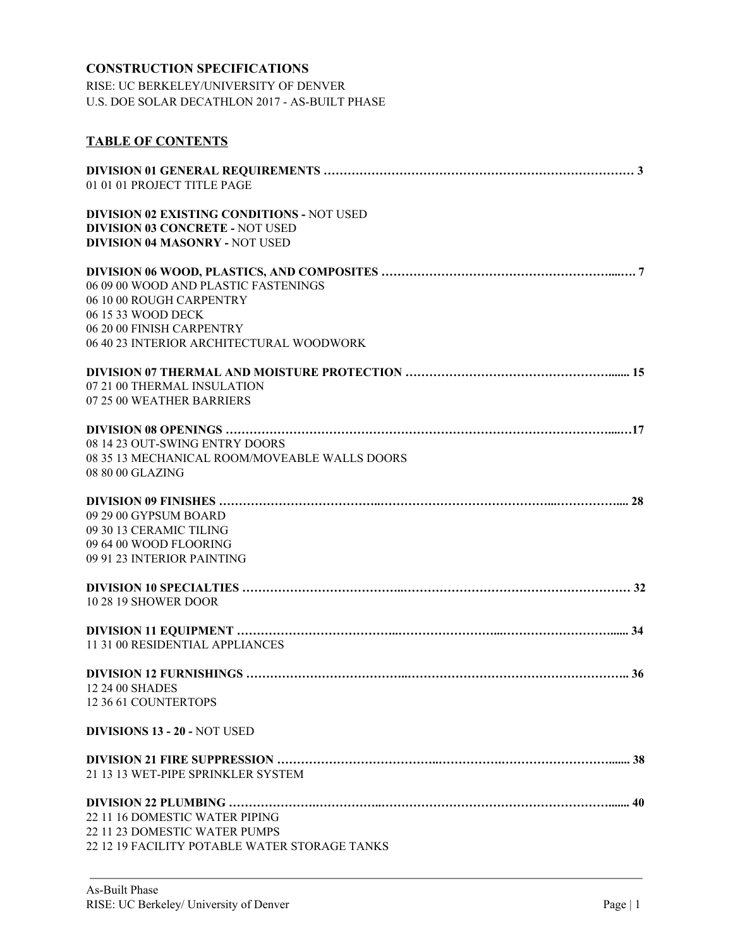# **CONSTRUCTION SPECIFICATIONS**

RISE: UC BERKELEY/UNIVERSITY OF DENVER U.S. DOE SOLAR DECATHLON 2017 - AS-BUILT PHASE

# **TABLE OF CONTENTS**

| 01 01 01 PROJECT TITLE PAGE                                                                                                                                     |
|-----------------------------------------------------------------------------------------------------------------------------------------------------------------|
| <b>DIVISION 02 EXISTING CONDITIONS - NOT USED</b><br><b>DIVISION 03 CONCRETE - NOT USED</b><br><b>DIVISION 04 MASONRY - NOT USED</b>                            |
| 06 09 00 WOOD AND PLASTIC FASTENINGS<br>06 10 00 ROUGH CARPENTRY<br>06 15 33 WOOD DECK<br>06 20 00 FINISH CARPENTRY<br>06 40 23 INTERIOR ARCHITECTURAL WOODWORK |
| 07 21 00 THERMAL INSULATION<br>07 25 00 WEATHER BARRIERS                                                                                                        |
| 08 14 23 OUT-SWING ENTRY DOORS<br>08 35 13 MECHANICAL ROOM/MOVEABLE WALLS DOORS<br>08 80 00 GLAZING                                                             |
| 09 29 00 GYPSUM BOARD<br>09 30 13 CERAMIC TILING<br>09 64 00 WOOD FLOORING<br>09 91 23 INTERIOR PAINTING                                                        |
| <b>10 28 19 SHOWER DOOR</b>                                                                                                                                     |
| 11 31 00 RESIDENTIAL APPLIANCES                                                                                                                                 |
| 12 24 00 SHADES<br>12 36 61 COUNTERTOPS                                                                                                                         |
| <b>DIVISIONS 13 - 20 - NOT USED</b>                                                                                                                             |
| 21 13 13 WET-PIPE SPRINKLER SYSTEM                                                                                                                              |
| 22 11 16 DOMESTIC WATER PIPING<br>22 11 23 DOMESTIC WATER PUMPS<br>22 12 19 FACILITY POTABLE WATER STORAGE TANKS                                                |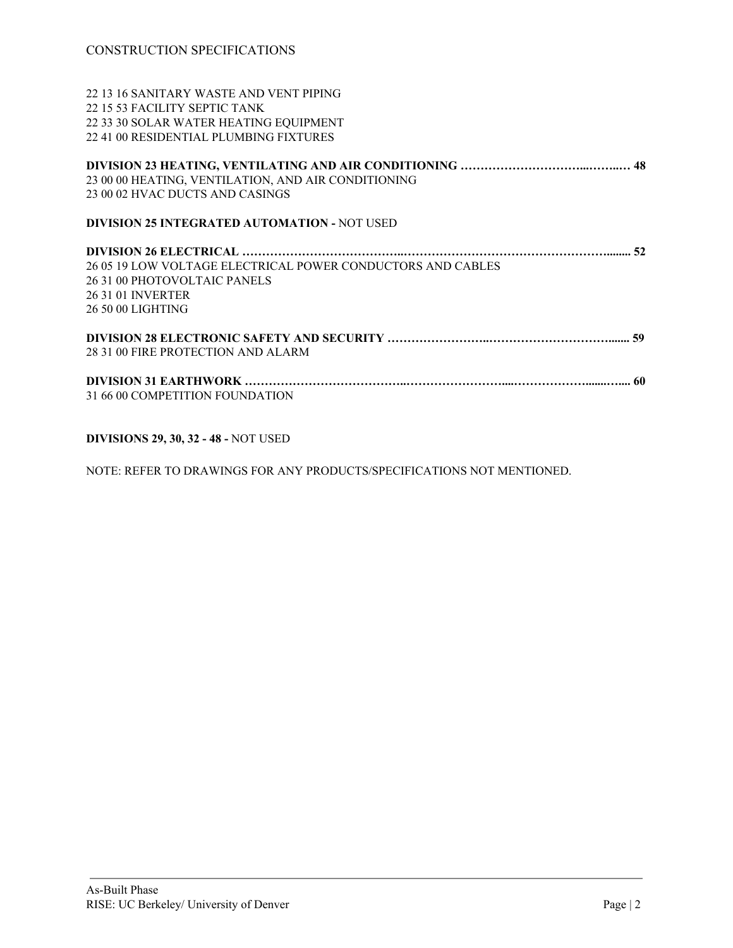13 16 SANITARY WASTE AND VENT PIPING 15 53 FACILITY SEPTIC TANK 33 30 SOLAR WATER HEATING EQUIPMENT 41 00 RESIDENTIAL PLUMBING FIXTURES

| 23 00 00 HEATING, VENTILATION, AND AIR CONDITIONING<br>23 00 02 HVAC DUCTS AND CASINGS |
|----------------------------------------------------------------------------------------|
| <b>DIVISION 25 INTEGRATED AUTOMATION - NOT USED</b>                                    |
|                                                                                        |
| 26 05 19 LOW VOLTAGE ELECTRICAL POWER CONDUCTORS AND CABLES                            |
| 26 31 00 PHOTOVOLTAIC PANELS                                                           |
| 26 31 01 INVERTER                                                                      |
| 26 50 00 LIGHTING                                                                      |
|                                                                                        |
| 28 31 00 FIRE PROTECTION AND ALARM                                                     |
|                                                                                        |
| 31 66 00 COMPETITION FOUNDATION                                                        |
|                                                                                        |

**DIVISIONS 29, 30, 32 - 48 -** NOT USED

NOTE: REFER TO DRAWINGS FOR ANY PRODUCTS/SPECIFICATIONS NOT MENTIONED.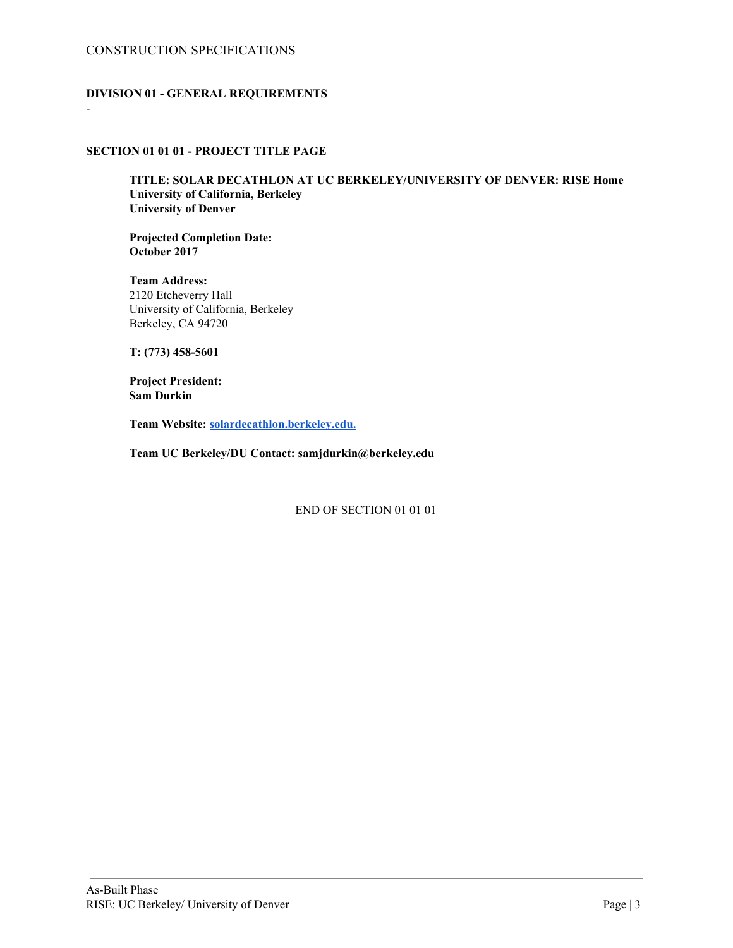## CONSTRUCTION SPECIFICATIONS

-

## **DIVISION 01 - GENERAL REQUIREMENTS**

## **SECTION 01 01 01 - PROJECT TITLE PAGE**

**TITLE: SOLAR DECATHLON AT UC BERKELEY/UNIVERSITY OF DENVER: RISE Home University of California, Berkeley University of Denver**

**Projected Completion Date: October 2017**

**Team Address:** 2120 Etcheverry Hall University of California, Berkeley Berkeley, CA 94720

**T: (773) 458-5601**

**Project President: Sam Durkin**

**Team Website: [solardecathlon.berkeley.edu.](http://solardecathlon.berkeley.edu/)**

**Team UC Berkeley/DU Contact: samjdurkin@berkeley.edu**

END OF SECTION 01 01 01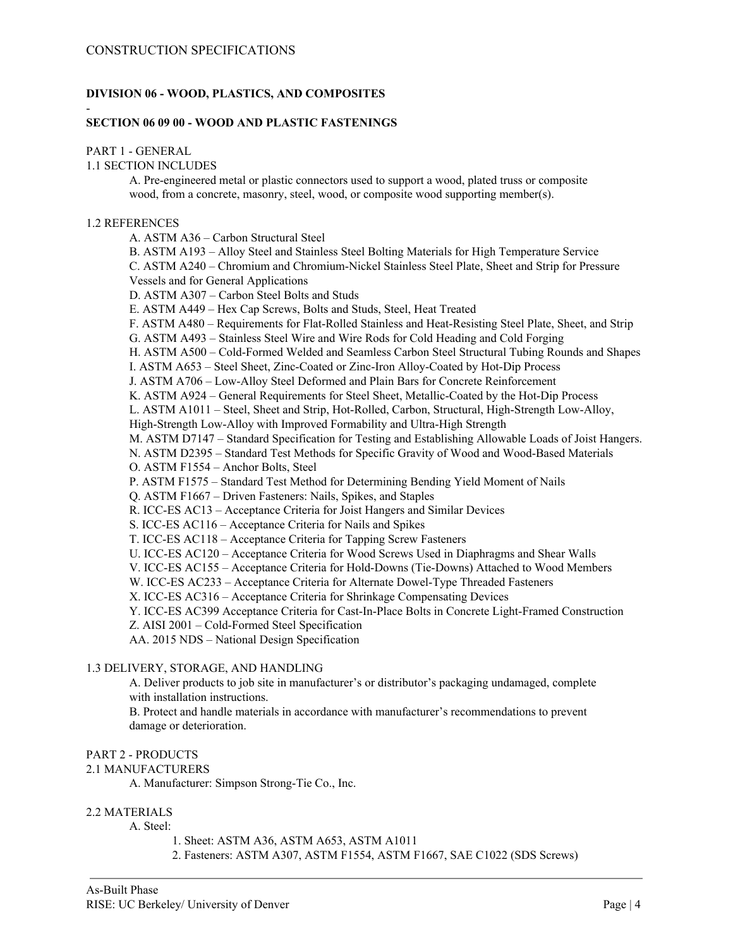## **DIVISION 06 - WOOD, PLASTICS, AND COMPOSITES**

### **SECTION 06 09 00 - WOOD AND PLASTIC FASTENINGS**

## PART 1 - GENERAL

-

1.1 SECTION INCLUDES

A. Pre-engineered metal or plastic connectors used to support a wood, plated truss or composite wood, from a concrete, masonry, steel, wood, or composite wood supporting member(s).

#### 1.2 REFERENCES

A. ASTM A36 – Carbon Structural Steel

B. ASTM A193 – Alloy Steel and Stainless Steel Bolting Materials for High Temperature Service C. ASTM A240 – Chromium and Chromium-Nickel Stainless Steel Plate, Sheet and Strip for Pressure Vessels and for General Applications

D. ASTM A307 – Carbon Steel Bolts and Studs

E. ASTM A449 – Hex Cap Screws, Bolts and Studs, Steel, Heat Treated

F. ASTM A480 – Requirements for Flat-Rolled Stainless and Heat-Resisting Steel Plate, Sheet, and Strip

G. ASTM A493 – Stainless Steel Wire and Wire Rods for Cold Heading and Cold Forging

H. ASTM A500 – Cold-Formed Welded and Seamless Carbon Steel Structural Tubing Rounds and Shapes

I. ASTM A653 – Steel Sheet, Zinc-Coated or Zinc-Iron Alloy-Coated by Hot-Dip Process

J. ASTM A706 – Low-Alloy Steel Deformed and Plain Bars for Concrete Reinforcement

K. ASTM A924 – General Requirements for Steel Sheet, Metallic-Coated by the Hot-Dip Process

L. ASTM A1011 – Steel, Sheet and Strip, Hot-Rolled, Carbon, Structural, High-Strength Low-Alloy,

High-Strength Low-Alloy with Improved Formability and Ultra-High Strength

M. ASTM D7147 – Standard Specification for Testing and Establishing Allowable Loads of Joist Hangers.

N. ASTM D2395 – Standard Test Methods for Specific Gravity of Wood and Wood-Based Materials

O. ASTM F1554 – Anchor Bolts, Steel

P. ASTM F1575 – Standard Test Method for Determining Bending Yield Moment of Nails

Q. ASTM F1667 – Driven Fasteners: Nails, Spikes, and Staples

R. ICC-ES AC13 – Acceptance Criteria for Joist Hangers and Similar Devices

S. ICC-ES AC116 – Acceptance Criteria for Nails and Spikes

T. ICC-ES AC118 – Acceptance Criteria for Tapping Screw Fasteners

U. ICC-ES AC120 – Acceptance Criteria for Wood Screws Used in Diaphragms and Shear Walls

V. ICC-ES AC155 – Acceptance Criteria for Hold-Downs (Tie-Downs) Attached to Wood Members

W. ICC-ES AC233 – Acceptance Criteria for Alternate Dowel-Type Threaded Fasteners

X. ICC-ES AC316 – Acceptance Criteria for Shrinkage Compensating Devices

Y. ICC-ES AC399 Acceptance Criteria for Cast-In-Place Bolts in Concrete Light-Framed Construction

Z. AISI 2001 – Cold-Formed Steel Specification

AA. 2015 NDS – National Design Specification

## 1.3 DELIVERY, STORAGE, AND HANDLING

A. Deliver products to job site in manufacturer's or distributor's packaging undamaged, complete with installation instructions.

B. Protect and handle materials in accordance with manufacturer's recommendations to prevent damage or deterioration.

## PART 2 - PRODUCTS

## 2.1 MANUFACTURERS

A. Manufacturer: Simpson Strong-Tie Co., Inc.

## 2.2 MATERIALS

A. Steel:

- 1. Sheet: ASTM A36, ASTM A653, ASTM A1011
- 2. Fasteners: ASTM A307, ASTM F1554, ASTM F1667, SAE C1022 (SDS Screws)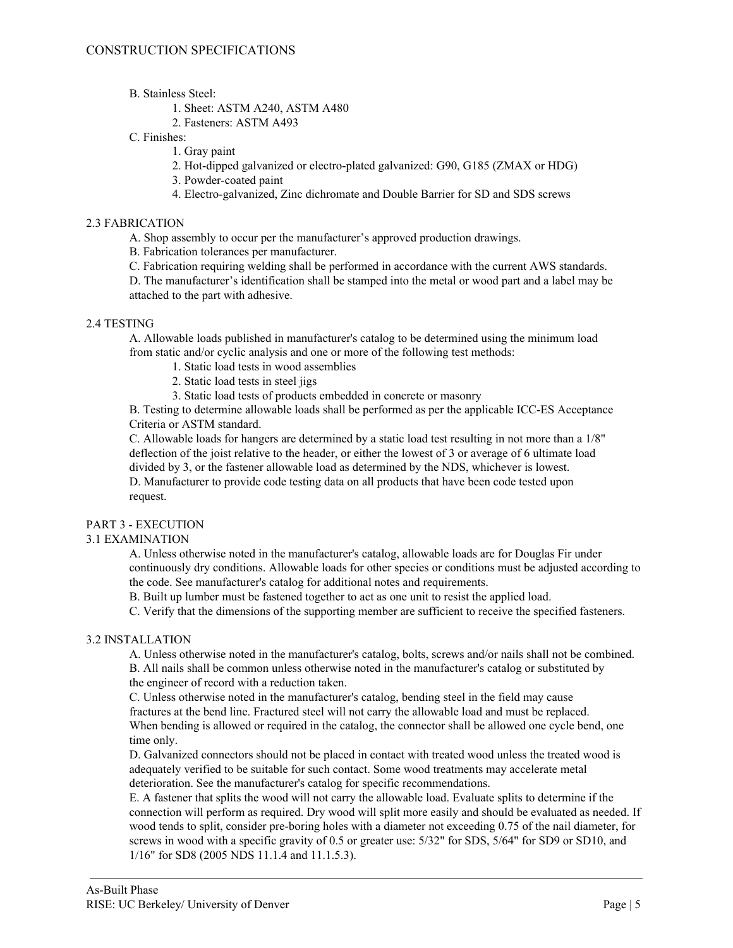### B. Stainless Steel:

### 1. Sheet: ASTM A240, ASTM A480

2. Fasteners: ASTM A493

## C. Finishes:

- 1. Gray paint
- 2. Hot-dipped galvanized or electro-plated galvanized: G90, G185 (ZMAX or HDG)
- 3. Powder-coated paint
- 4. Electro-galvanized, Zinc dichromate and Double Barrier for SD and SDS screws

### 2.3 FABRICATION

A. Shop assembly to occur per the manufacturer's approved production drawings.

B. Fabrication tolerances per manufacturer.

C. Fabrication requiring welding shall be performed in accordance with the current AWS standards.

D. The manufacturer's identification shall be stamped into the metal or wood part and a label may be attached to the part with adhesive.

#### 2.4 TESTING

A. Allowable loads published in manufacturer's catalog to be determined using the minimum load from static and/or cyclic analysis and one or more of the following test methods:

- 1. Static load tests in wood assemblies
- 2. Static load tests in steel jigs
- 3. Static load tests of products embedded in concrete or masonry

B. Testing to determine allowable loads shall be performed as per the applicable ICC-ES Acceptance Criteria or ASTM standard.

C. Allowable loads for hangers are determined by a static load test resulting in not more than a 1/8" deflection of the joist relative to the header, or either the lowest of 3 or average of 6 ultimate load divided by 3, or the fastener allowable load as determined by the NDS, whichever is lowest. D. Manufacturer to provide code testing data on all products that have been code tested upon request.

## PART 3 - EXECUTION

## 3.1 EXAMINATION

A. Unless otherwise noted in the manufacturer's catalog, allowable loads are for Douglas Fir under continuously dry conditions. Allowable loads for other species or conditions must be adjusted according to the code. See manufacturer's catalog for additional notes and requirements.

B. Built up lumber must be fastened together to act as one unit to resist the applied load.

C. Verify that the dimensions of the supporting member are sufficient to receive the specified fasteners.

## 3.2 INSTALLATION

A. Unless otherwise noted in the manufacturer's catalog, bolts, screws and/or nails shall not be combined. B. All nails shall be common unless otherwise noted in the manufacturer's catalog or substituted by the engineer of record with a reduction taken.

C. Unless otherwise noted in the manufacturer's catalog, bending steel in the field may cause fractures at the bend line. Fractured steel will not carry the allowable load and must be replaced. When bending is allowed or required in the catalog, the connector shall be allowed one cycle bend, one time only.

D. Galvanized connectors should not be placed in contact with treated wood unless the treated wood is adequately verified to be suitable for such contact. Some wood treatments may accelerate metal deterioration. See the manufacturer's catalog for specific recommendations.

E. A fastener that splits the wood will not carry the allowable load. Evaluate splits to determine if the connection will perform as required. Dry wood will split more easily and should be evaluated as needed. If wood tends to split, consider pre-boring holes with a diameter not exceeding 0.75 of the nail diameter, for screws in wood with a specific gravity of 0.5 or greater use: 5/32" for SDS, 5/64" for SD9 or SD10, and 1/16" for SD8 (2005 NDS 11.1.4 and 11.1.5.3).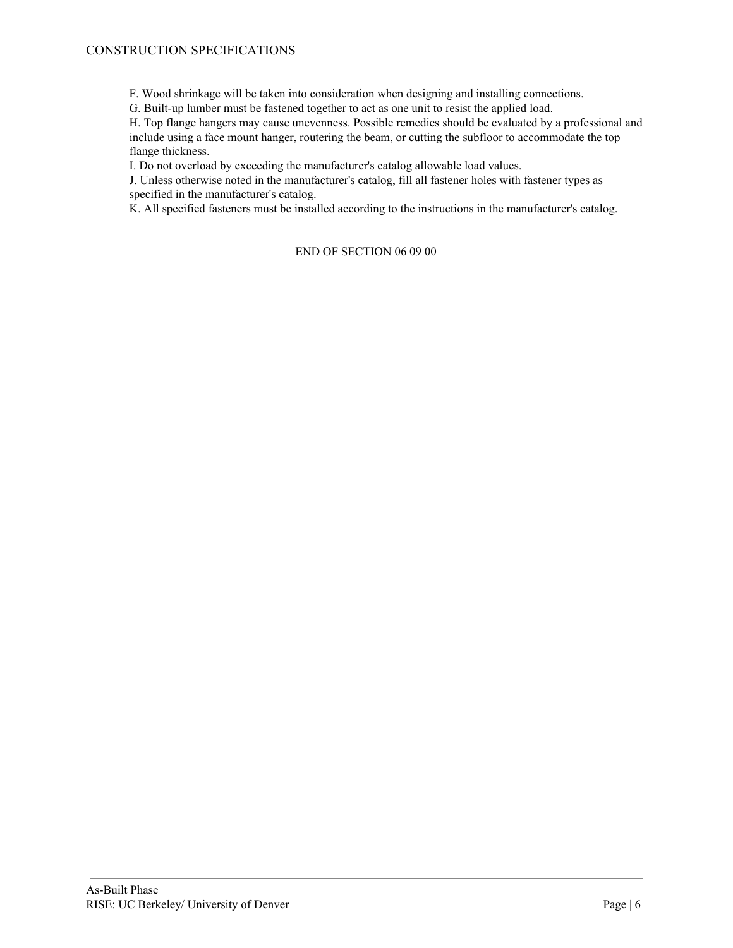F. Wood shrinkage will be taken into consideration when designing and installing connections.

G. Built-up lumber must be fastened together to act as one unit to resist the applied load.

H. Top flange hangers may cause unevenness. Possible remedies should be evaluated by a professional and include using a face mount hanger, routering the beam, or cutting the subfloor to accommodate the top flange thickness.

I. Do not overload by exceeding the manufacturer's catalog allowable load values.

J. Unless otherwise noted in the manufacturer's catalog, fill all fastener holes with fastener types as specified in the manufacturer's catalog.

K. All specified fasteners must be installed according to the instructions in the manufacturer's catalog.

## END OF SECTION 06 09 00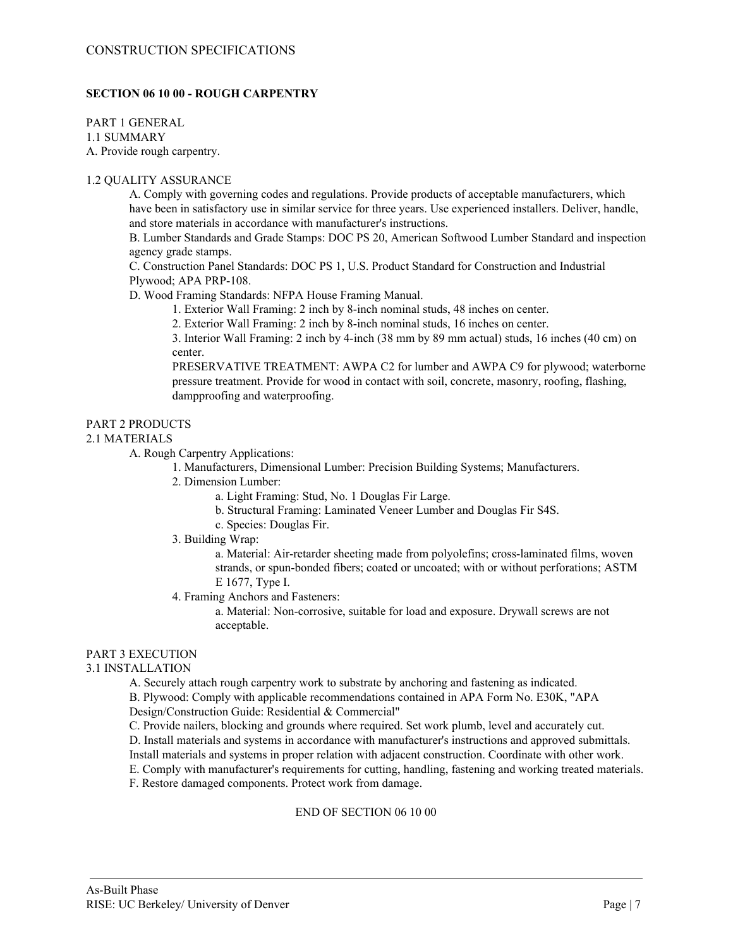## **SECTION 06 10 00 - ROUGH CARPENTRY**

PART 1 GENERAL 1.1 SUMMARY

A. Provide rough carpentry.

## 1.2 QUALITY ASSURANCE

A. Comply with governing codes and regulations. Provide products of acceptable manufacturers, which have been in satisfactory use in similar service for three years. Use experienced installers. Deliver, handle, and store materials in accordance with manufacturer's instructions.

B. Lumber Standards and Grade Stamps: DOC PS 20, American Softwood Lumber Standard and inspection agency grade stamps.

C. Construction Panel Standards: DOC PS 1, U.S. Product Standard for Construction and Industrial Plywood; APA PRP-108.

D. Wood Framing Standards: NFPA House Framing Manual.

1. Exterior Wall Framing: 2 inch by 8-inch nominal studs, 48 inches on center.

2. Exterior Wall Framing: 2 inch by 8-inch nominal studs, 16 inches on center.

3. Interior Wall Framing: 2 inch by 4-inch (38 mm by 89 mm actual) studs, 16 inches (40 cm) on center.

PRESERVATIVE TREATMENT: AWPA C2 for lumber and AWPA C9 for plywood; waterborne pressure treatment. Provide for wood in contact with soil, concrete, masonry, roofing, flashing, dampproofing and waterproofing.

## PART 2 PRODUCTS

#### 2.1 MATERIALS

A. Rough Carpentry Applications:

1. Manufacturers, Dimensional Lumber: Precision Building Systems; Manufacturers.

2. Dimension Lumber:

a. Light Framing: Stud, No. 1 Douglas Fir Large.

- b. Structural Framing: Laminated Veneer Lumber and Douglas Fir S4S.
- c. Species: Douglas Fir.
- 3. Building Wrap:

a. Material: Air-retarder sheeting made from polyolefins; cross-laminated films, woven strands, or spun-bonded fibers; coated or uncoated; with or without perforations; ASTM E 1677, Type I.

4. Framing Anchors and Fasteners:

a. Material: Non-corrosive, suitable for load and exposure. Drywall screws are not acceptable.

## PART 3 EXECUTION

## 3.1 INSTALLATION

A. Securely attach rough carpentry work to substrate by anchoring and fastening as indicated.

B. Plywood: Comply with applicable recommendations contained in APA Form No. E30K, "APA

Design/Construction Guide: Residential & Commercial"

C. Provide nailers, blocking and grounds where required. Set work plumb, level and accurately cut.

D. Install materials and systems in accordance with manufacturer's instructions and approved submittals.

Install materials and systems in proper relation with adjacent construction. Coordinate with other work.

E. Comply with manufacturer's requirements for cutting, handling, fastening and working treated materials.

F. Restore damaged components. Protect work from damage.

#### END OF SECTION 06 10 00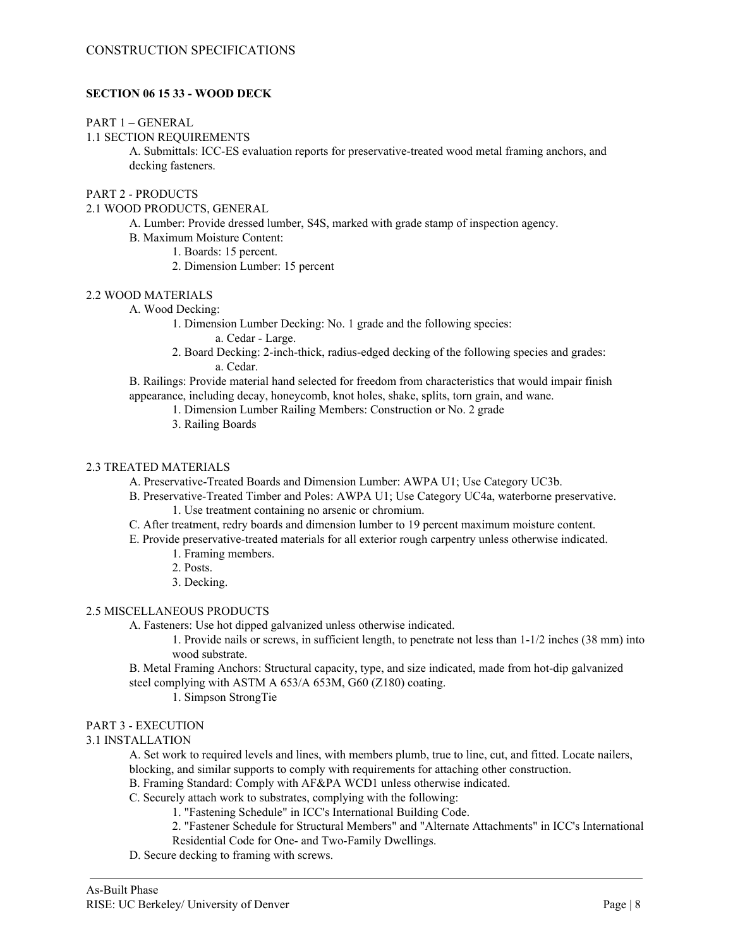## **SECTION 06 15 33 - WOOD DECK**

#### PART 1 – GENERAL

## 1.1 SECTION REQUIREMENTS

A. Submittals: ICC-ES evaluation reports for preservative-treated wood metal framing anchors, and decking fasteners.

## PART 2 - PRODUCTS

#### 2.1 WOOD PRODUCTS, GENERAL

- A. Lumber: Provide dressed lumber, S4S, marked with grade stamp of inspection agency.
- B. Maximum Moisture Content:
	- 1. Boards: 15 percent.
	- 2. Dimension Lumber: 15 percent

#### 2.2 WOOD MATERIALS

#### A. Wood Decking:

1. Dimension Lumber Decking: No. 1 grade and the following species:

a. Cedar - Large.

2. Board Decking: 2-inch-thick, radius-edged decking of the following species and grades: a. Cedar.

B. Railings: Provide material hand selected for freedom from characteristics that would impair finish appearance, including decay, honeycomb, knot holes, shake, splits, torn grain, and wane.

- 1. Dimension Lumber Railing Members: Construction or No. 2 grade
	- 3. Railing Boards

## 2.3 TREATED MATERIALS

A. Preservative-Treated Boards and Dimension Lumber: AWPA U1; Use Category UC3b.

- B. Preservative-Treated Timber and Poles: AWPA U1; Use Category UC4a, waterborne preservative. 1. Use treatment containing no arsenic or chromium.
- C. After treatment, redry boards and dimension lumber to 19 percent maximum moisture content.
- E. Provide preservative-treated materials for all exterior rough carpentry unless otherwise indicated.
	- 1. Framing members.
	- 2. Posts.
	- 3. Decking.

## 2.5 MISCELLANEOUS PRODUCTS

A. Fasteners: Use hot dipped galvanized unless otherwise indicated.

1. Provide nails or screws, in sufficient length, to penetrate not less than 1-1/2 inches (38 mm) into wood substrate.

B. Metal Framing Anchors: Structural capacity, type, and size indicated, made from hot-dip galvanized steel complying with ASTM A 653/A 653M, G60 (Z180) coating.

1. Simpson StrongTie

## PART 3 - EXECUTION

## 3.1 INSTALLATION

A. Set work to required levels and lines, with members plumb, true to line, cut, and fitted. Locate nailers,

blocking, and similar supports to comply with requirements for attaching other construction.

- B. Framing Standard: Comply with AF&PA WCD1 unless otherwise indicated.
- C. Securely attach work to substrates, complying with the following:
	- 1. "Fastening Schedule" in ICC's International Building Code.
	- 2. "Fastener Schedule for Structural Members" and "Alternate Attachments" in ICC's International Residential Code for One- and Two-Family Dwellings.
- D. Secure decking to framing with screws.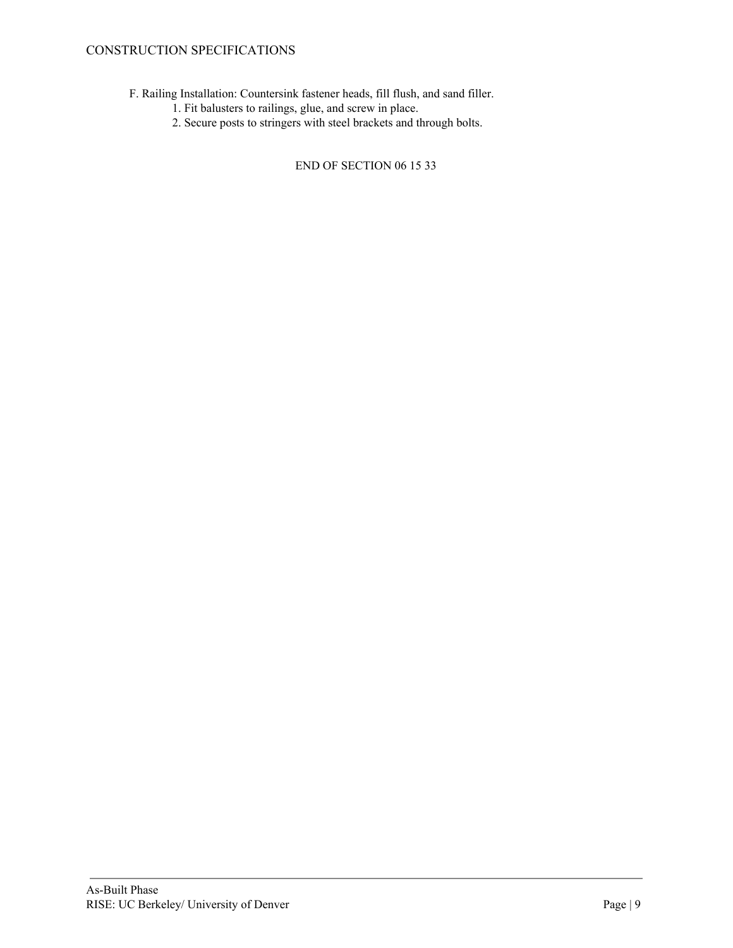# CONSTRUCTION SPECIFICATIONS

- F. Railing Installation: Countersink fastener heads, fill flush, and sand filler.
	- 1. Fit balusters to railings, glue, and screw in place.
	- 2. Secure posts to stringers with steel brackets and through bolts.

END OF SECTION 06 15 33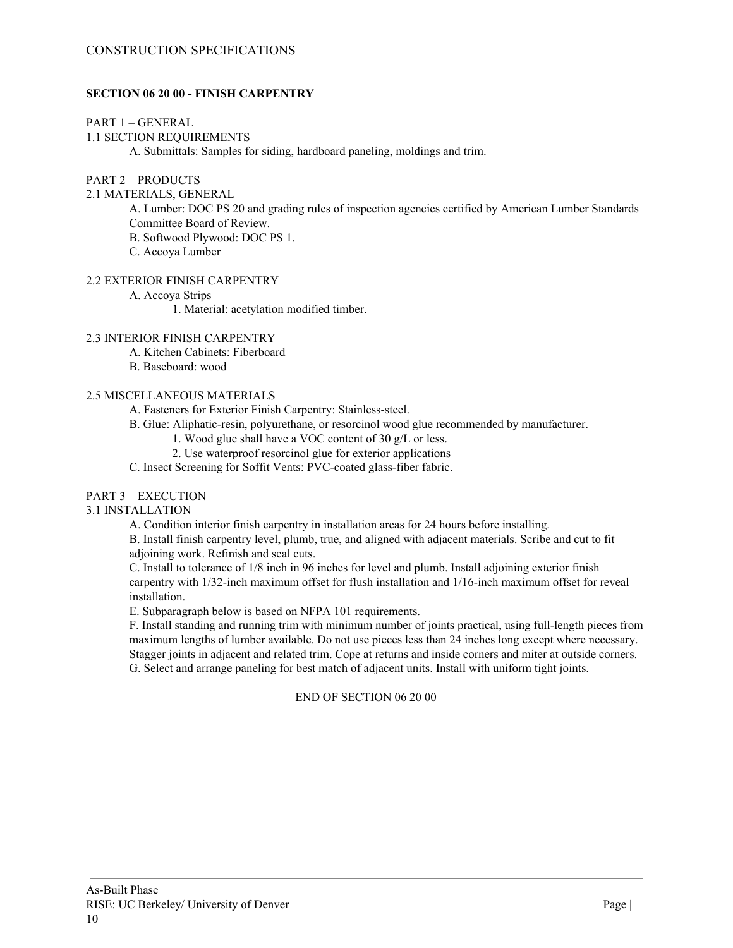## **SECTION 06 20 00 - FINISH CARPENTRY**

## PART 1 – GENERAL

## 1.1 SECTION REQUIREMENTS

A. Submittals: Samples for siding, hardboard paneling, moldings and trim.

## PART 2 – PRODUCTS

## 2.1 MATERIALS, GENERAL

A. Lumber: DOC PS 20 and grading rules of inspection agencies certified by American Lumber Standards Committee Board of Review.

B. Softwood Plywood: DOC PS 1.

C. Accoya Lumber

## 2.2 EXTERIOR FINISH CARPENTRY

A. Accoya Strips

1. Material: acetylation modified timber.

## 2.3 INTERIOR FINISH CARPENTRY

- A. Kitchen Cabinets: Fiberboard
- B. Baseboard: wood

## 2.5 MISCELLANEOUS MATERIALS

A. Fasteners for Exterior Finish Carpentry: Stainless-steel.

- B. Glue: Aliphatic-resin, polyurethane, or resorcinol wood glue recommended by manufacturer.
	- 1. Wood glue shall have a VOC content of 30 g/L or less.
	- 2. Use waterproof resorcinol glue for exterior applications

C. Insect Screening for Soffit Vents: PVC-coated glass-fiber fabric.

## PART 3 – EXECUTION

## 3.1 INSTALLATION

A. Condition interior finish carpentry in installation areas for 24 hours before installing.

B. Install finish carpentry level, plumb, true, and aligned with adjacent materials. Scribe and cut to fit adjoining work. Refinish and seal cuts.

C. Install to tolerance of 1/8 inch in 96 inches for level and plumb. Install adjoining exterior finish carpentry with 1/32-inch maximum offset for flush installation and 1/16-inch maximum offset for reveal installation.

E. Subparagraph below is based on NFPA 101 requirements.

F. Install standing and running trim with minimum number of joints practical, using full-length pieces from maximum lengths of lumber available. Do not use pieces less than 24 inches long except where necessary. Stagger joints in adjacent and related trim. Cope at returns and inside corners and miter at outside corners. G. Select and arrange paneling for best match of adjacent units. Install with uniform tight joints.

## END OF SECTION 06 20 00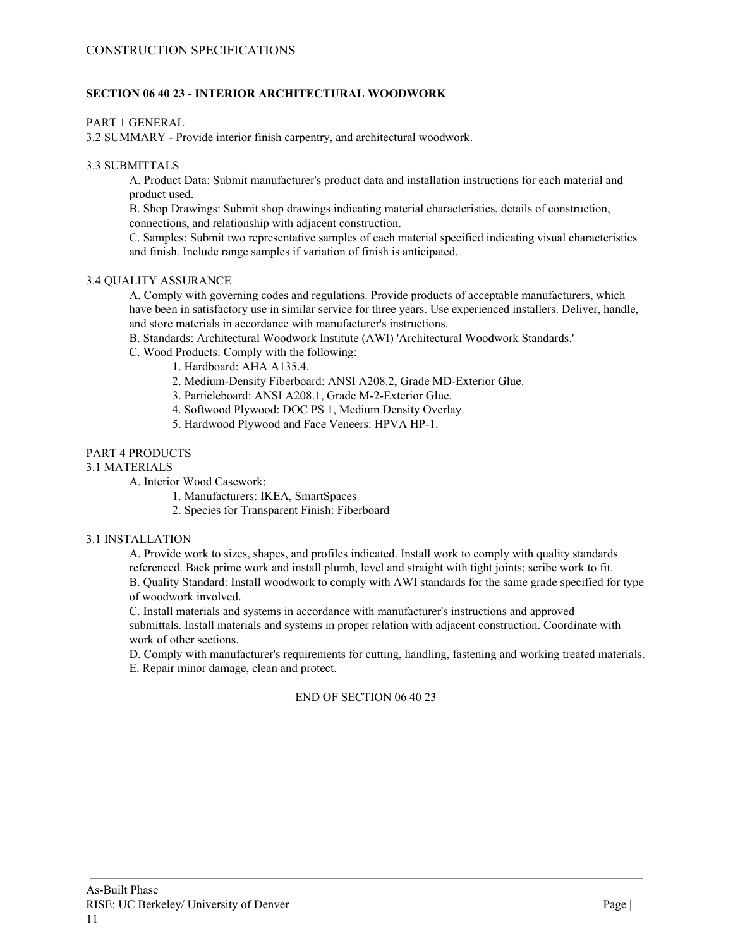## **SECTION 06 40 23 - INTERIOR ARCHITECTURAL WOODWORK**

PART 1 GENERAL

3.2 SUMMARY - Provide interior finish carpentry, and architectural woodwork.

## 3.3 SUBMITTALS

A. Product Data: Submit manufacturer's product data and installation instructions for each material and product used.

B. Shop Drawings: Submit shop drawings indicating material characteristics, details of construction, connections, and relationship with adjacent construction.

C. Samples: Submit two representative samples of each material specified indicating visual characteristics and finish. Include range samples if variation of finish is anticipated.

## 3.4 QUALITY ASSURANCE

A. Comply with governing codes and regulations. Provide products of acceptable manufacturers, which have been in satisfactory use in similar service for three years. Use experienced installers. Deliver, handle, and store materials in accordance with manufacturer's instructions.

B. Standards: Architectural Woodwork Institute (AWI) 'Architectural Woodwork Standards.'

- C. Wood Products: Comply with the following:
	- 1. Hardboard: AHA A135.4.
	- 2. Medium-Density Fiberboard: ANSI A208.2, Grade MD-Exterior Glue.
	- 3. Particleboard: ANSI A208.1, Grade M-2-Exterior Glue.
	- 4. Softwood Plywood: DOC PS 1, Medium Density Overlay.
	- 5. Hardwood Plywood and Face Veneers: HPVA HP-1.

## PART 4 PRODUCTS

## 3.1 MATERIALS

A. Interior Wood Casework:

- 1. Manufacturers: IKEA, SmartSpaces
- 2. Species for Transparent Finish: Fiberboard

## 3.1 INSTALLATION

A. Provide work to sizes, shapes, and profiles indicated. Install work to comply with quality standards referenced. Back prime work and install plumb, level and straight with tight joints; scribe work to fit. B. Quality Standard: Install woodwork to comply with AWI standards for the same grade specified for type of woodwork involved.

C. Install materials and systems in accordance with manufacturer's instructions and approved submittals. Install materials and systems in proper relation with adjacent construction. Coordinate with work of other sections.

D. Comply with manufacturer's requirements for cutting, handling, fastening and working treated materials. E. Repair minor damage, clean and protect.

## END OF SECTION 06 40 23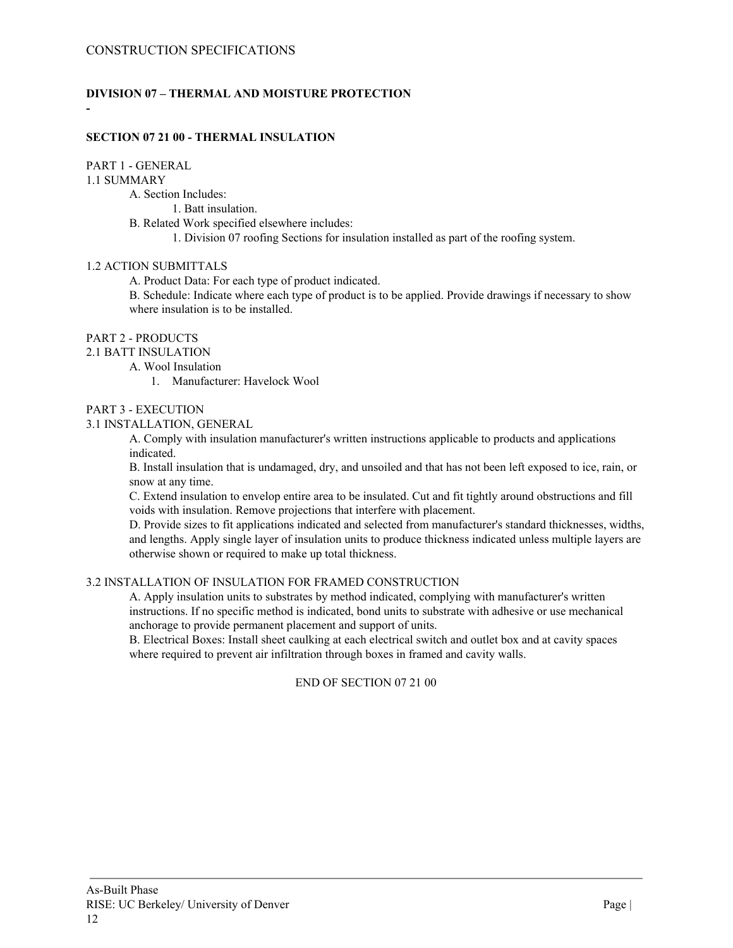# **DIVISION 07 – THERMAL AND MOISTURE PROTECTION**

### **SECTION 07 21 00 - THERMAL INSULATION**

## PART 1 - GENERAL

#### 1.1 SUMMARY

**-**

A. Section Includes:

1. Batt insulation.

B. Related Work specified elsewhere includes:

1. Division 07 roofing Sections for insulation installed as part of the roofing system.

#### 1.2 ACTION SUBMITTALS

A. Product Data: For each type of product indicated.

B. Schedule: Indicate where each type of product is to be applied. Provide drawings if necessary to show where insulation is to be installed.

## PART 2 - PRODUCTS

2.1 BATT INSULATION

A. Wool Insulation

1. Manufacturer: Havelock Wool

#### PART 3 - EXECUTION

#### 3.1 INSTALLATION, GENERAL

A. Comply with insulation manufacturer's written instructions applicable to products and applications indicated.

B. Install insulation that is undamaged, dry, and unsoiled and that has not been left exposed to ice, rain, or snow at any time.

C. Extend insulation to envelop entire area to be insulated. Cut and fit tightly around obstructions and fill voids with insulation. Remove projections that interfere with placement.

D. Provide sizes to fit applications indicated and selected from manufacturer's standard thicknesses, widths, and lengths. Apply single layer of insulation units to produce thickness indicated unless multiple layers are otherwise shown or required to make up total thickness.

## 3.2 INSTALLATION OF INSULATION FOR FRAMED CONSTRUCTION

A. Apply insulation units to substrates by method indicated, complying with manufacturer's written instructions. If no specific method is indicated, bond units to substrate with adhesive or use mechanical anchorage to provide permanent placement and support of units.

B. Electrical Boxes: Install sheet caulking at each electrical switch and outlet box and at cavity spaces where required to prevent air infiltration through boxes in framed and cavity walls.

### END OF SECTION 07 21 00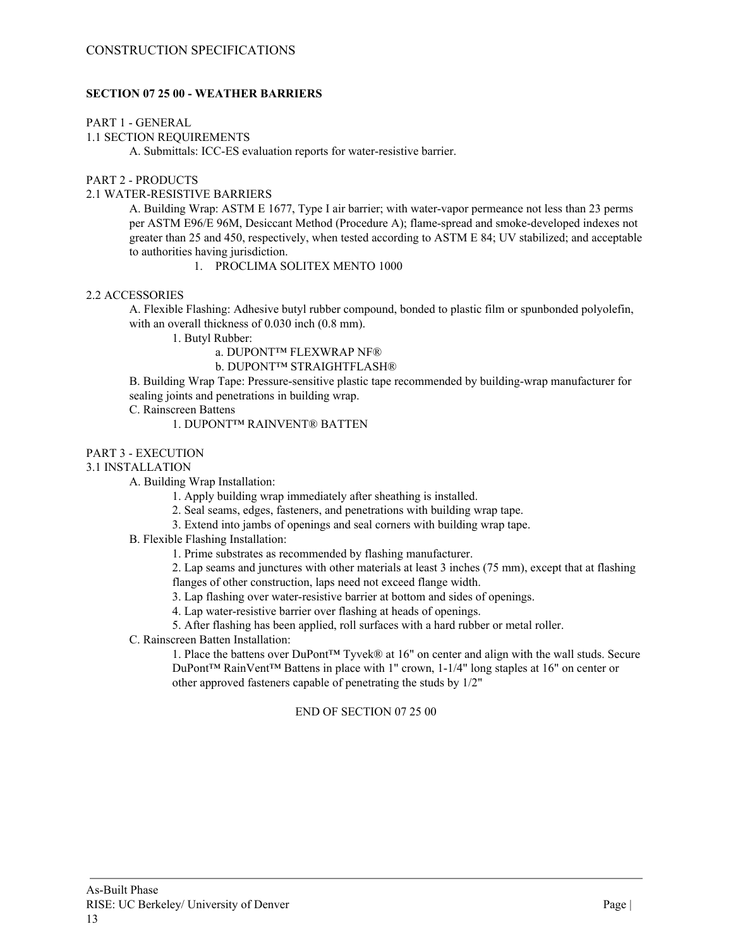## **SECTION 07 25 00 - WEATHER BARRIERS**

### PART 1 - GENERAL

## 1.1 SECTION REQUIREMENTS

A. Submittals: ICC-ES evaluation reports for water-resistive barrier.

## PART 2 - PRODUCTS

## 2.1 WATER-RESISTIVE BARRIERS

A. Building Wrap: ASTM E 1677, Type I air barrier; with water-vapor permeance not less than 23 perms per ASTM E96/E 96M, Desiccant Method (Procedure A); flame-spread and smoke-developed indexes not greater than 25 and 450, respectively, when tested according to ASTM E 84; UV stabilized; and acceptable to authorities having jurisdiction.

1. PROCLIMA SOLITEX MENTO 1000

## 2.2 ACCESSORIES

A. Flexible Flashing: Adhesive butyl rubber compound, bonded to plastic film or spunbonded polyolefin, with an overall thickness of 0.030 inch (0.8 mm).

1. Butyl Rubber:

a. DUPONT™ FLEXWRAP NF®

b. DUPONT™ STRAIGHTFLASH®

B. Building Wrap Tape: Pressure-sensitive plastic tape recommended by building-wrap manufacturer for sealing joints and penetrations in building wrap.

C. Rainscreen Battens

## 1. DUPONT™ RAINVENT® BATTEN

## PART 3 - EXECUTION

#### 3.1 INSTALLATION

A. Building Wrap Installation:

1. Apply building wrap immediately after sheathing is installed.

2. Seal seams, edges, fasteners, and penetrations with building wrap tape.

3. Extend into jambs of openings and seal corners with building wrap tape.

## B. Flexible Flashing Installation:

1. Prime substrates as recommended by flashing manufacturer.

2. Lap seams and junctures with other materials at least 3 inches (75 mm), except that at flashing flanges of other construction, laps need not exceed flange width.

3. Lap flashing over water-resistive barrier at bottom and sides of openings.

4. Lap water-resistive barrier over flashing at heads of openings.

5. After flashing has been applied, roll surfaces with a hard rubber or metal roller.

C. Rainscreen Batten Installation:

1. Place the battens over DuPont™ Tyvek® at 16" on center and align with the wall studs. Secure DuPont™ RainVent™ Battens in place with 1" crown, 1-1/4" long staples at 16" on center or other approved fasteners capable of penetrating the studs by 1/2"

## END OF SECTION 07 25 00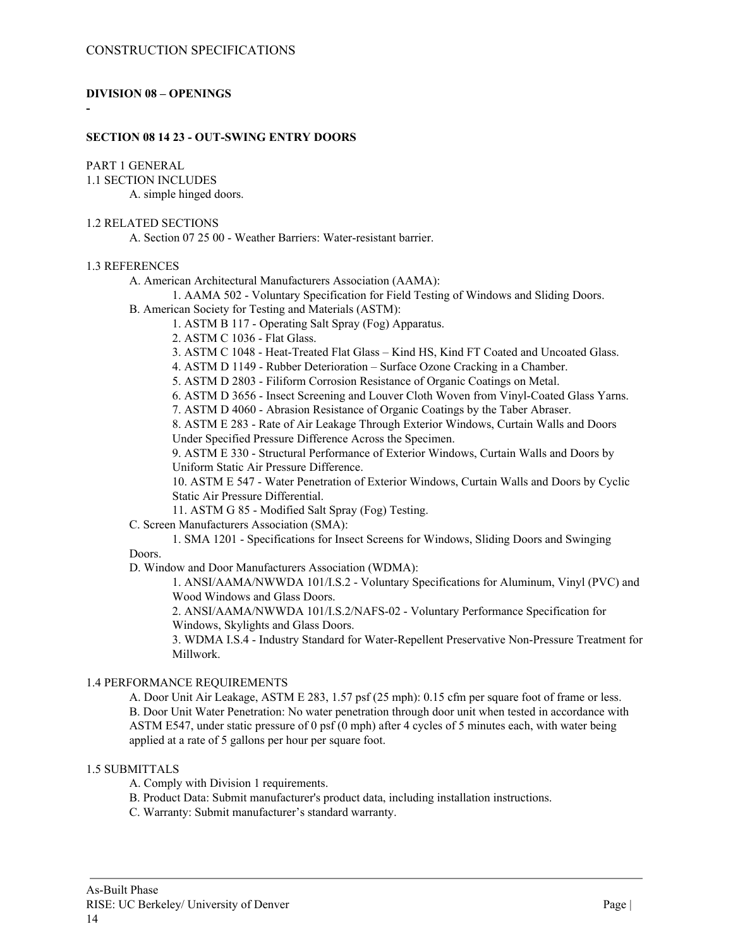## **DIVISION 08 – OPENINGS**

# **-**

## **SECTION 08 14 23 - OUT-SWING ENTRY DOORS**

# PART 1 GENERAL

1.1 SECTION INCLUDES

A. simple hinged doors.

# 1.2 RELATED SECTIONS

A. Section 07 25 00 - Weather Barriers: Water-resistant barrier.

## 1.3 REFERENCES

A. American Architectural Manufacturers Association (AAMA):

1. AAMA 502 - Voluntary Specification for Field Testing of Windows and Sliding Doors.

B. American Society for Testing and Materials (ASTM):

1. ASTM B 117 - Operating Salt Spray (Fog) Apparatus.

2. ASTM C 1036 - Flat Glass.

3. ASTM C 1048 - Heat-Treated Flat Glass – Kind HS, Kind FT Coated and Uncoated Glass.

4. ASTM D 1149 - Rubber Deterioration – Surface Ozone Cracking in a Chamber.

5. ASTM D 2803 - Filiform Corrosion Resistance of Organic Coatings on Metal.

6. ASTM D 3656 - Insect Screening and Louver Cloth Woven from Vinyl-Coated Glass Yarns.

7. ASTM D 4060 - Abrasion Resistance of Organic Coatings by the Taber Abraser.

8. ASTM E 283 - Rate of Air Leakage Through Exterior Windows, Curtain Walls and Doors Under Specified Pressure Difference Across the Specimen.

9. ASTM E 330 - Structural Performance of Exterior Windows, Curtain Walls and Doors by Uniform Static Air Pressure Difference.

10. ASTM E 547 - Water Penetration of Exterior Windows, Curtain Walls and Doors by Cyclic Static Air Pressure Differential.

11. ASTM G 85 - Modified Salt Spray (Fog) Testing.

C. Screen Manufacturers Association (SMA):

1. SMA 1201 - Specifications for Insect Screens for Windows, Sliding Doors and Swinging Doors.

D. Window and Door Manufacturers Association (WDMA):

1. ANSI/AAMA/NWWDA 101/I.S.2 - Voluntary Specifications for Aluminum, Vinyl (PVC) and Wood Windows and Glass Doors.

2. ANSI/AAMA/NWWDA 101/I.S.2/NAFS-02 - Voluntary Performance Specification for Windows, Skylights and Glass Doors.

3. WDMA I.S.4 - Industry Standard for Water-Repellent Preservative Non-Pressure Treatment for Millwork.

## 1.4 PERFORMANCE REQUIREMENTS

A. Door Unit Air Leakage, ASTM E 283, 1.57 psf (25 mph): 0.15 cfm per square foot of frame or less. B. Door Unit Water Penetration: No water penetration through door unit when tested in accordance with ASTM E547, under static pressure of 0 psf (0 mph) after 4 cycles of 5 minutes each, with water being applied at a rate of 5 gallons per hour per square foot.

## 1.5 SUBMITTALS

A. Comply with Division 1 requirements.

B. Product Data: Submit manufacturer's product data, including installation instructions.

C. Warranty: Submit manufacturer's standard warranty.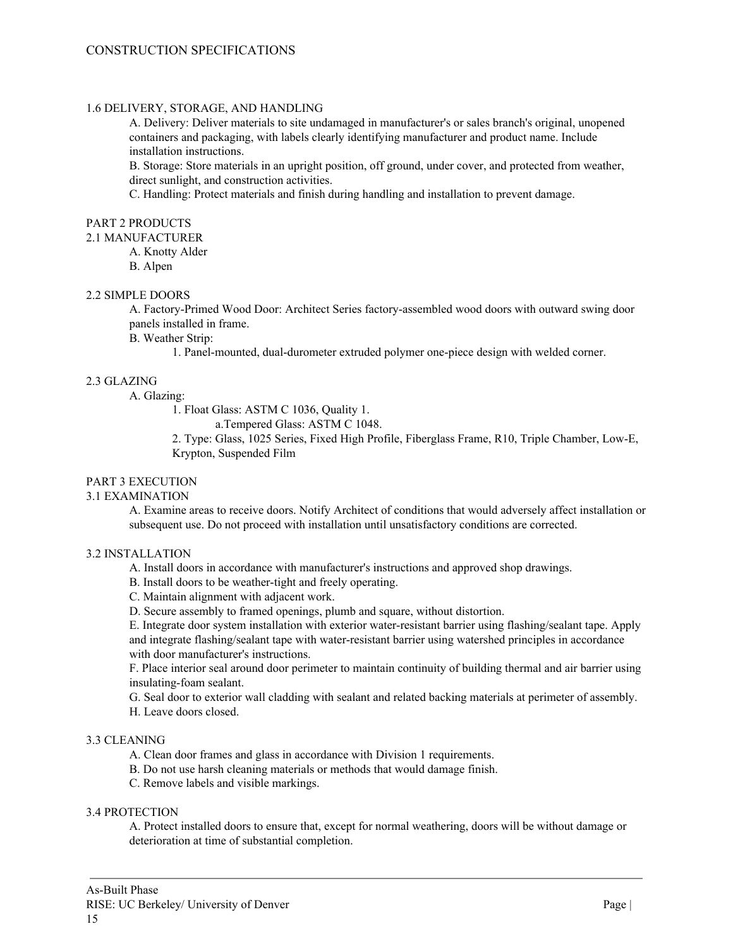### 1.6 DELIVERY, STORAGE, AND HANDLING

A. Delivery: Deliver materials to site undamaged in manufacturer's or sales branch's original, unopened containers and packaging, with labels clearly identifying manufacturer and product name. Include installation instructions.

B. Storage: Store materials in an upright position, off ground, under cover, and protected from weather, direct sunlight, and construction activities.

C. Handling: Protect materials and finish during handling and installation to prevent damage.

## PART 2 PRODUCTS

2.1 MANUFACTURER

A. Knotty Alder

B. Alpen

#### 2.2 SIMPLE DOORS

A. Factory-Primed Wood Door: Architect Series factory-assembled wood doors with outward swing door panels installed in frame.

B. Weather Strip:

1. Panel-mounted, dual-durometer extruded polymer one-piece design with welded corner.

## 2.3 GLAZING

A. Glazing:

1. Float Glass: ASTM C 1036, Quality 1.

a.Tempered Glass: ASTM C 1048.

2. Type: Glass, 1025 Series, Fixed High Profile, Fiberglass Frame, R10, Triple Chamber, Low-E, Krypton, Suspended Film

## PART 3 EXECUTION

#### 3.1 EXAMINATION

A. Examine areas to receive doors. Notify Architect of conditions that would adversely affect installation or subsequent use. Do not proceed with installation until unsatisfactory conditions are corrected.

## 3.2 INSTALLATION

- A. Install doors in accordance with manufacturer's instructions and approved shop drawings.
- B. Install doors to be weather-tight and freely operating.
- C. Maintain alignment with adjacent work.
- D. Secure assembly to framed openings, plumb and square, without distortion.

E. Integrate door system installation with exterior water-resistant barrier using flashing/sealant tape. Apply and integrate flashing/sealant tape with water-resistant barrier using watershed principles in accordance with door manufacturer's instructions.

F. Place interior seal around door perimeter to maintain continuity of building thermal and air barrier using insulating-foam sealant.

G. Seal door to exterior wall cladding with sealant and related backing materials at perimeter of assembly. H. Leave doors closed.

#### 3.3 CLEANING

A. Clean door frames and glass in accordance with Division 1 requirements.

B. Do not use harsh cleaning materials or methods that would damage finish.

C. Remove labels and visible markings.

## 3.4 PROTECTION

A. Protect installed doors to ensure that, except for normal weathering, doors will be without damage or deterioration at time of substantial completion.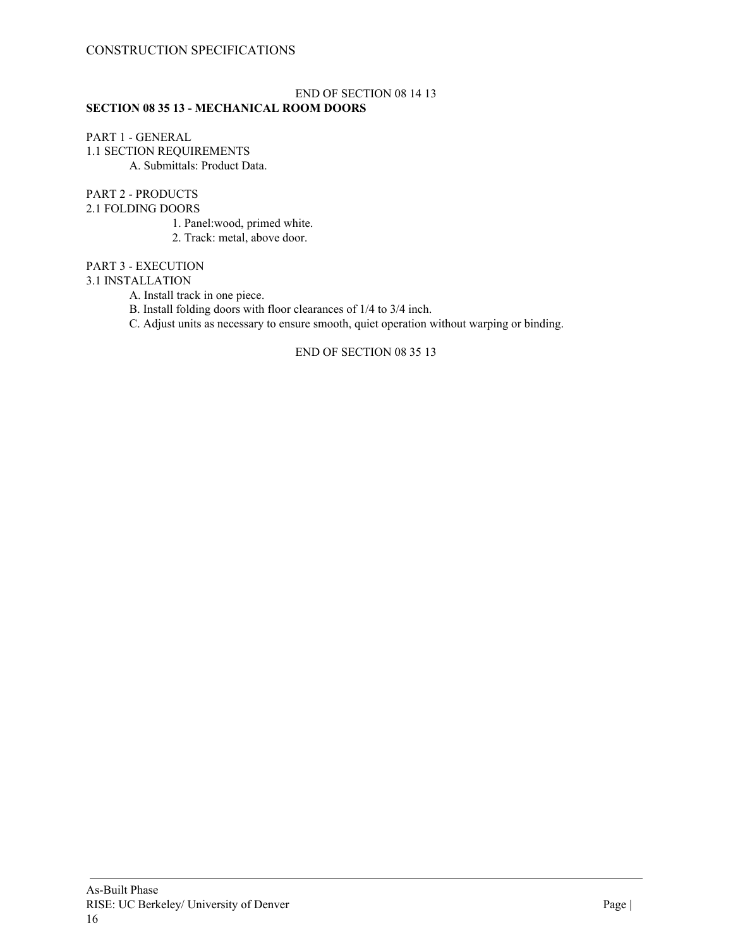## CONSTRUCTION SPECIFICATIONS

#### END OF SECTION 08 14 13 **SECTION 08 35 13 - MECHANICAL ROOM DOORS**

## PART 1 - GENERAL 1.1 SECTION REQUIREMENTS A. Submittals: Product Data.

## PART 2 - PRODUCTS

## 2.1 FOLDING DOORS

1. Panel:wood, primed white.

2. Track: metal, above door.

## PART 3 - EXECUTION

## 3.1 INSTALLATION

A. Install track in one piece.

- B. Install folding doors with floor clearances of 1/4 to 3/4 inch.
- C. Adjust units as necessary to ensure smooth, quiet operation without warping or binding.

## END OF SECTION 08 35 13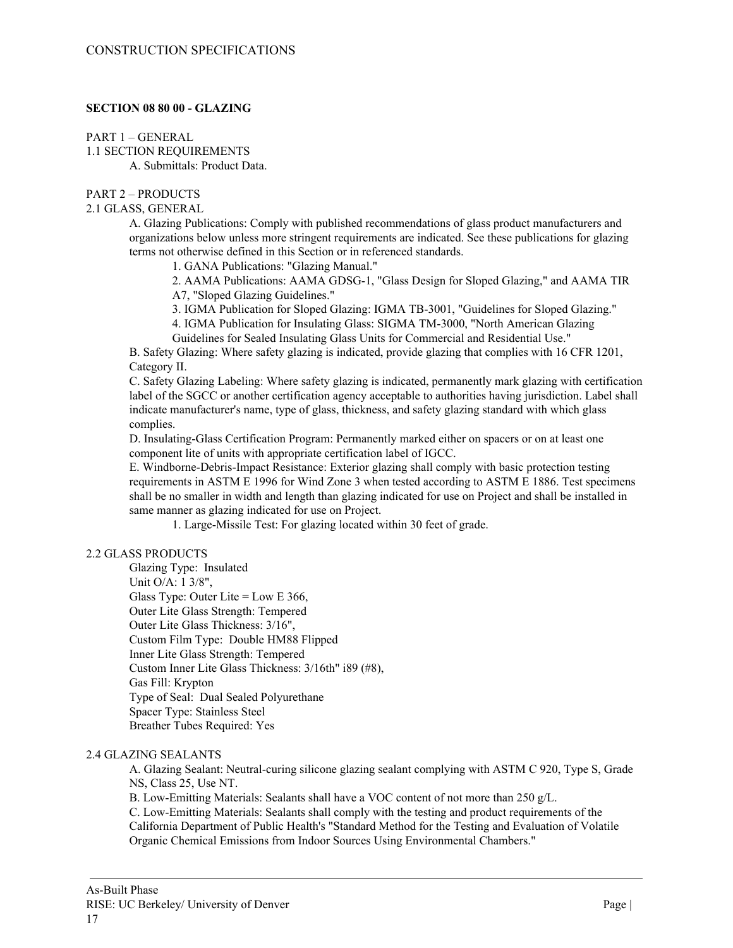## **SECTION 08 80 00 - GLAZING**

PART 1 – GENERAL 1.1 SECTION REQUIREMENTS A. Submittals: Product Data.

## PART 2 – PRODUCTS

#### 2.1 GLASS, GENERAL

A. Glazing Publications: Comply with published recommendations of glass product manufacturers and organizations below unless more stringent requirements are indicated. See these publications for glazing terms not otherwise defined in this Section or in referenced standards.

1. GANA Publications: "Glazing Manual."

2. AAMA Publications: AAMA GDSG-1, "Glass Design for Sloped Glazing," and AAMA TIR A7, "Sloped Glazing Guidelines."

3. IGMA Publication for Sloped Glazing: IGMA TB-3001, "Guidelines for Sloped Glazing."

4. IGMA Publication for Insulating Glass: SIGMA TM-3000, "North American Glazing

Guidelines for Sealed Insulating Glass Units for Commercial and Residential Use."

B. Safety Glazing: Where safety glazing is indicated, provide glazing that complies with 16 CFR 1201, Category II.

C. Safety Glazing Labeling: Where safety glazing is indicated, permanently mark glazing with certification label of the SGCC or another certification agency acceptable to authorities having jurisdiction. Label shall indicate manufacturer's name, type of glass, thickness, and safety glazing standard with which glass complies.

D. Insulating-Glass Certification Program: Permanently marked either on spacers or on at least one component lite of units with appropriate certification label of IGCC.

E. Windborne-Debris-Impact Resistance: Exterior glazing shall comply with basic protection testing requirements in ASTM E 1996 for Wind Zone 3 when tested according to ASTM E 1886. Test specimens shall be no smaller in width and length than glazing indicated for use on Project and shall be installed in same manner as glazing indicated for use on Project.

1. Large-Missile Test: For glazing located within 30 feet of grade.

## 2.2 GLASS PRODUCTS

Glazing Type: Insulated Unit O/A: 1 3/8", Glass Type: Outer Lite = Low E 366, Outer Lite Glass Strength: Tempered Outer Lite Glass Thickness: 3/16", Custom Film Type: Double HM88 Flipped Inner Lite Glass Strength: Tempered Custom Inner Lite Glass Thickness: 3/16th" i89 (#8), Gas Fill: Krypton Type of Seal: Dual Sealed Polyurethane Spacer Type: Stainless Steel Breather Tubes Required: Yes

## 2.4 GLAZING SEALANTS

A. Glazing Sealant: Neutral-curing silicone glazing sealant complying with ASTM C 920, Type S, Grade NS, Class 25, Use NT.

B. Low-Emitting Materials: Sealants shall have a VOC content of not more than 250 g/L.

C. Low-Emitting Materials: Sealants shall comply with the testing and product requirements of the California Department of Public Health's "Standard Method for the Testing and Evaluation of Volatile Organic Chemical Emissions from Indoor Sources Using Environmental Chambers."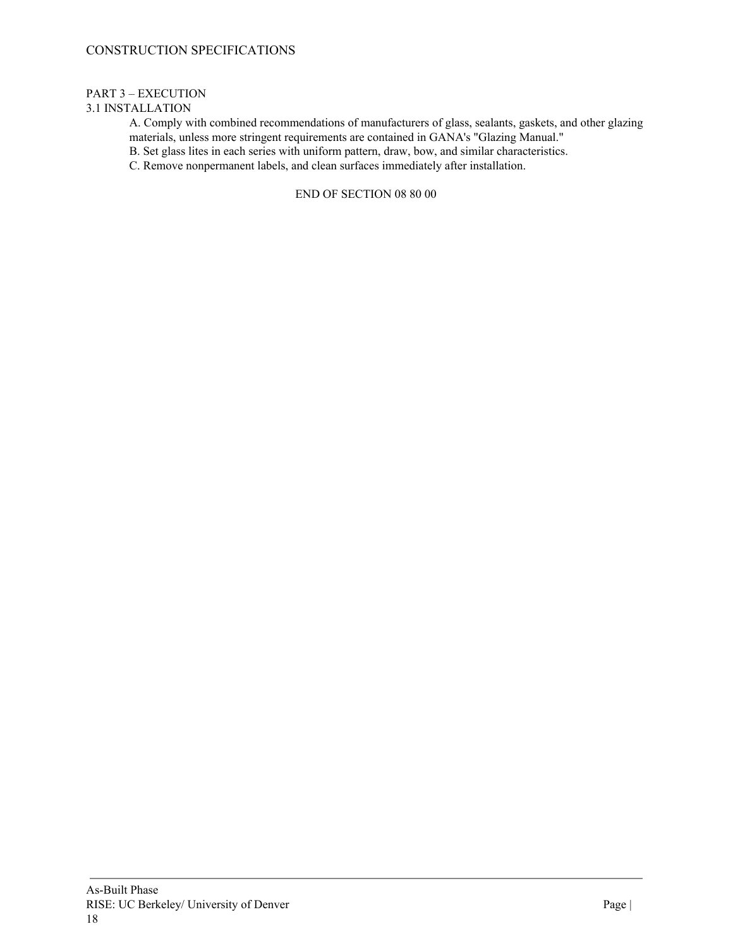## CONSTRUCTION SPECIFICATIONS

## PART 3 – EXECUTION

## 3.1 INSTALLATION

A. Comply with combined recommendations of manufacturers of glass, sealants, gaskets, and other glazing materials, unless more stringent requirements are contained in GANA's "Glazing Manual."

B. Set glass lites in each series with uniform pattern, draw, bow, and similar characteristics.

C. Remove nonpermanent labels, and clean surfaces immediately after installation.

## END OF SECTION 08 80 00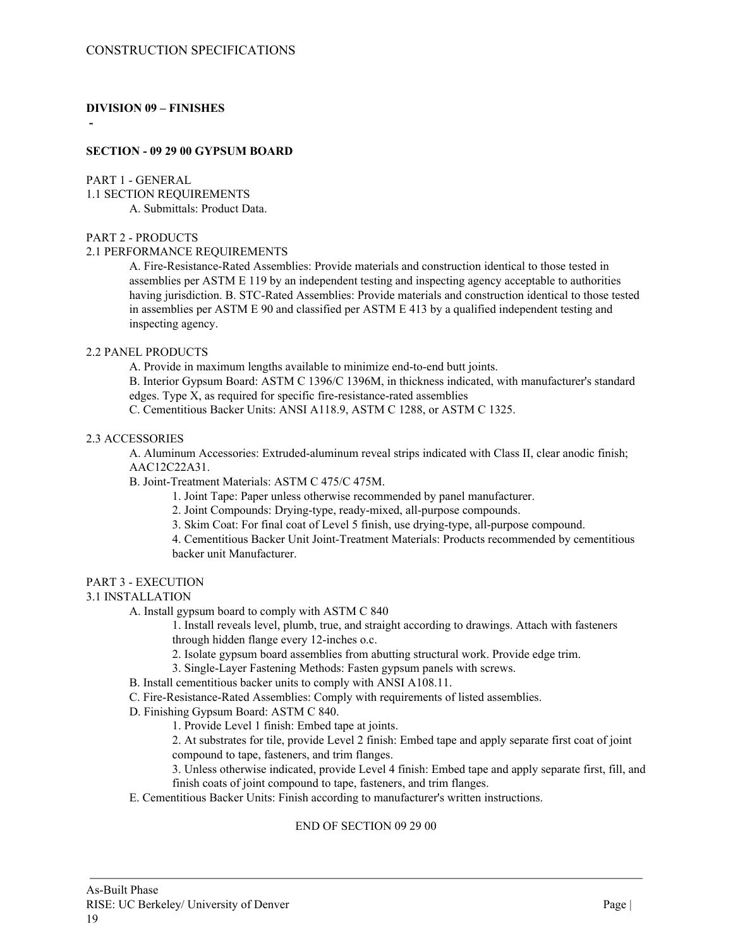## **DIVISION 09 – FINISHES**

**-**

### **SECTION - 09 29 00 GYPSUM BOARD**

#### PART 1 - GENERAL

1.1 SECTION REQUIREMENTS A. Submittals: Product Data.

## PART 2 - PRODUCTS

### 2.1 PERFORMANCE REQUIREMENTS

A. Fire-Resistance-Rated Assemblies: Provide materials and construction identical to those tested in assemblies per ASTM E 119 by an independent testing and inspecting agency acceptable to authorities having jurisdiction. B. STC-Rated Assemblies: Provide materials and construction identical to those tested in assemblies per ASTM E 90 and classified per ASTM E 413 by a qualified independent testing and inspecting agency.

## 2.2 PANEL PRODUCTS

A. Provide in maximum lengths available to minimize end-to-end butt joints.

B. Interior Gypsum Board: ASTM C 1396/C 1396M, in thickness indicated, with manufacturer's standard edges. Type X, as required for specific fire-resistance-rated assemblies

C. Cementitious Backer Units: ANSI A118.9, ASTM C 1288, or ASTM C 1325.

#### 2.3 ACCESSORIES

A. Aluminum Accessories: Extruded-aluminum reveal strips indicated with Class II, clear anodic finish; AAC12C22A31.

B. Joint-Treatment Materials: ASTM C 475/C 475M.

- 1. Joint Tape: Paper unless otherwise recommended by panel manufacturer.
- 2. Joint Compounds: Drying-type, ready-mixed, all-purpose compounds.
- 3. Skim Coat: For final coat of Level 5 finish, use drying-type, all-purpose compound.

4. Cementitious Backer Unit Joint-Treatment Materials: Products recommended by cementitious backer unit Manufacturer.

## PART 3 - EXECUTION

## 3.1 INSTALLATION

A. Install gypsum board to comply with ASTM C 840

1. Install reveals level, plumb, true, and straight according to drawings. Attach with fasteners through hidden flange every 12-inches o.c.

- 2. Isolate gypsum board assemblies from abutting structural work. Provide edge trim.
- 3. Single-Layer Fastening Methods: Fasten gypsum panels with screws.
- B. Install cementitious backer units to comply with ANSI A108.11.
- C. Fire-Resistance-Rated Assemblies: Comply with requirements of listed assemblies.
- D. Finishing Gypsum Board: ASTM C 840.
	- 1. Provide Level 1 finish: Embed tape at joints.

2. At substrates for tile, provide Level 2 finish: Embed tape and apply separate first coat of joint compound to tape, fasteners, and trim flanges.

3. Unless otherwise indicated, provide Level 4 finish: Embed tape and apply separate first, fill, and finish coats of joint compound to tape, fasteners, and trim flanges.

E. Cementitious Backer Units: Finish according to manufacturer's written instructions.

## END OF SECTION 09 29 00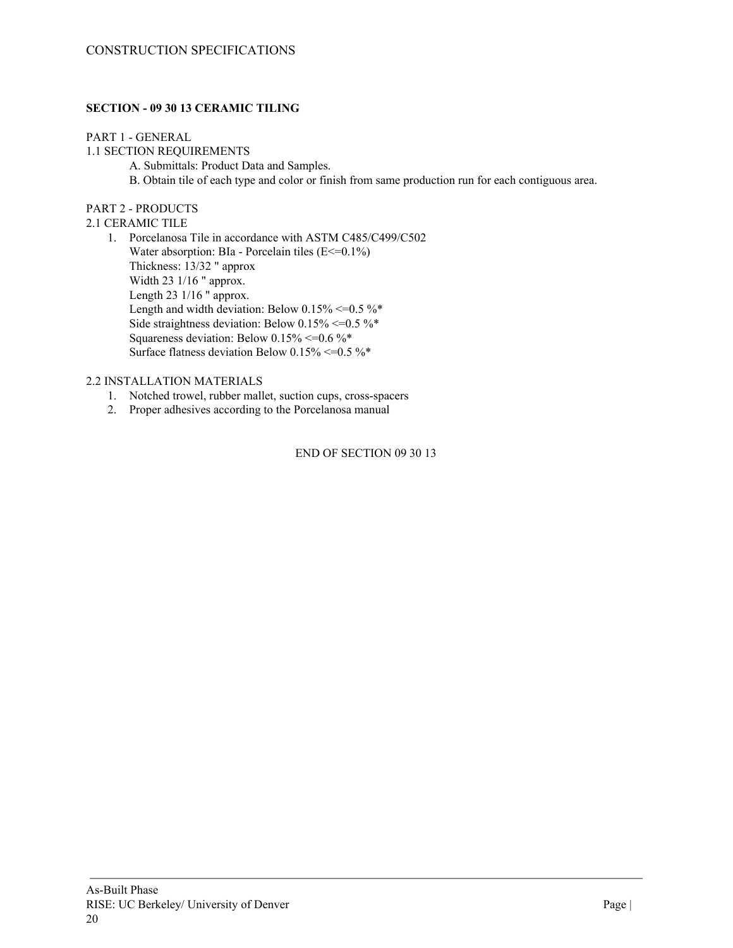## **SECTION - 09 30 13 CERAMIC TILING**

## PART 1 - GENERAL

1.1 SECTION REQUIREMENTS

- A. Submittals: Product Data and Samples.
- B. Obtain tile of each type and color or finish from same production run for each contiguous area.

## PART 2 - PRODUCTS

2.1 CERAMIC TILE

1. Porcelanosa Tile in accordance with ASTM C485/C499/C502 Water absorption: BIa - Porcelain tiles  $(E \le 0.1\%)$ Thickness: 13/32 " approx Width 23 1/16 " approx. Length 23 1/16 " approx. Length and width deviation: Below  $0.15\% \le 0.5\%$ \* Side straightness deviation: Below  $0.15\%$  <= 0.5 %\* Squareness deviation: Below  $0.15\% \le 0.6\%$ \* Surface flatness deviation Below  $0.15\% \le 0.5\%$ \*

## 2.2 INSTALLATION MATERIALS

- 1. Notched trowel, rubber mallet, suction cups, cross-spacers
- 2. Proper adhesives according to the Porcelanosa manual

END OF SECTION 09 30 13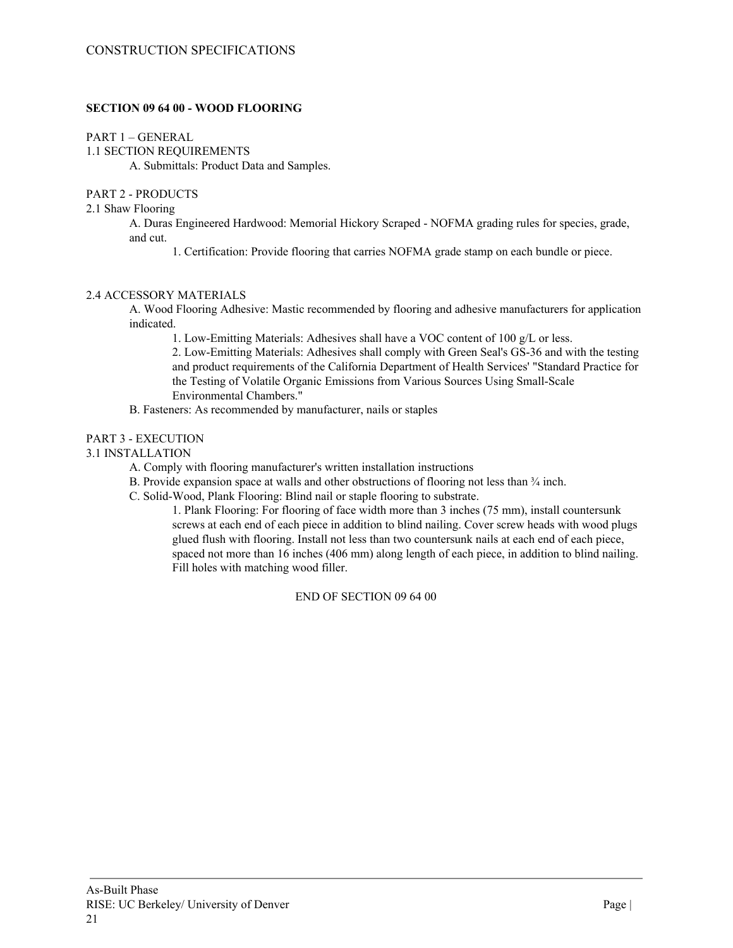## **SECTION 09 64 00 - WOOD FLOORING**

PART 1 – GENERAL

1.1 SECTION REQUIREMENTS

A. Submittals: Product Data and Samples.

## PART 2 - PRODUCTS

## 2.1 Shaw Flooring

A. Duras Engineered Hardwood: Memorial Hickory Scraped - NOFMA grading rules for species, grade, and cut.

1. Certification: Provide flooring that carries NOFMA grade stamp on each bundle or piece.

## 2.4 ACCESSORY MATERIALS

A. Wood Flooring Adhesive: Mastic recommended by flooring and adhesive manufacturers for application indicated.

1. Low-Emitting Materials: Adhesives shall have a VOC content of 100 g/L or less.

2. Low-Emitting Materials: Adhesives shall comply with Green Seal's GS-36 and with the testing and product requirements of the California Department of Health Services' "Standard Practice for the Testing of Volatile Organic Emissions from Various Sources Using Small-Scale Environmental Chambers."

B. Fasteners: As recommended by manufacturer, nails or staples

## PART 3 - EXECUTION

## 3.1 INSTALLATION

- A. Comply with flooring manufacturer's written installation instructions
- B. Provide expansion space at walls and other obstructions of flooring not less than  $\frac{3}{4}$  inch.
- C. Solid-Wood, Plank Flooring: Blind nail or staple flooring to substrate.

1. Plank Flooring: For flooring of face width more than 3 inches (75 mm), install countersunk screws at each end of each piece in addition to blind nailing. Cover screw heads with wood plugs glued flush with flooring. Install not less than two countersunk nails at each end of each piece, spaced not more than 16 inches (406 mm) along length of each piece, in addition to blind nailing. Fill holes with matching wood filler.

END OF SECTION 09 64 00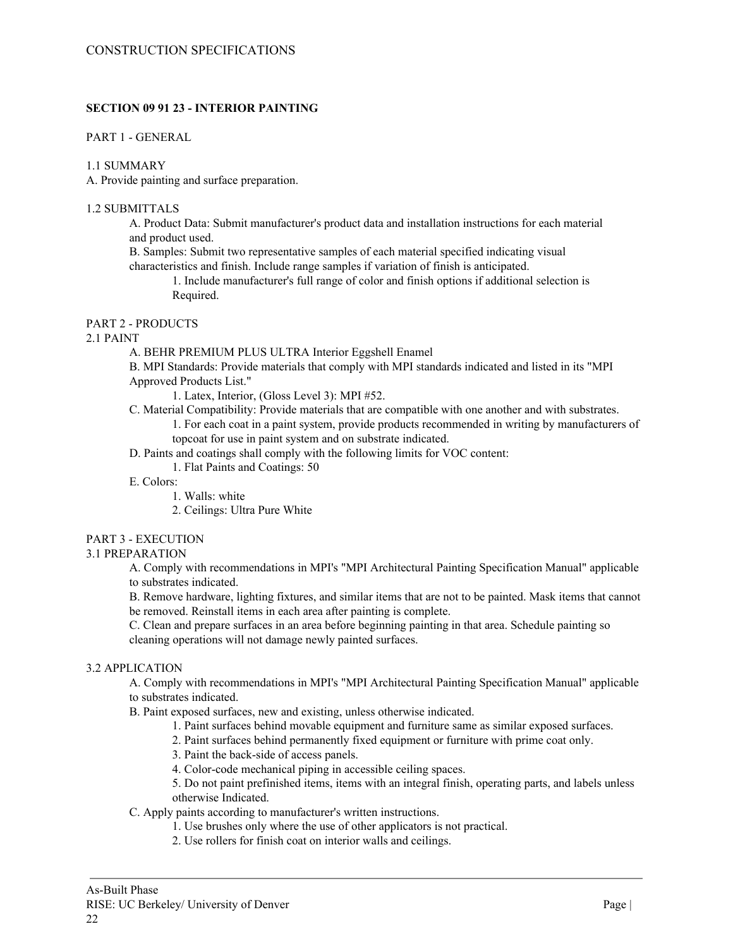## **SECTION 09 91 23 - INTERIOR PAINTING**

### PART 1 - GENERAL

### 1.1 SUMMARY

A. Provide painting and surface preparation.

### 1.2 SUBMITTALS

A. Product Data: Submit manufacturer's product data and installation instructions for each material and product used.

B. Samples: Submit two representative samples of each material specified indicating visual characteristics and finish. Include range samples if variation of finish is anticipated.

1. Include manufacturer's full range of color and finish options if additional selection is Required.

## PART 2 - PRODUCTS

#### 2.1 PAINT

A. BEHR PREMIUM PLUS ULTRA Interior Eggshell Enamel

B. MPI Standards: Provide materials that comply with MPI standards indicated and listed in its "MPI Approved Products List."

1. Latex, Interior, (Gloss Level 3): MPI #52.

- C. Material Compatibility: Provide materials that are compatible with one another and with substrates. 1. For each coat in a paint system, provide products recommended in writing by manufacturers of topcoat for use in paint system and on substrate indicated.
- D. Paints and coatings shall comply with the following limits for VOC content:
	- 1. Flat Paints and Coatings: 50

#### E. Colors:

- 1. Walls: white
- 2. Ceilings: Ultra Pure White

## PART 3 - EXECUTION

## 3.1 PREPARATION

A. Comply with recommendations in MPI's "MPI Architectural Painting Specification Manual" applicable to substrates indicated.

B. Remove hardware, lighting fixtures, and similar items that are not to be painted. Mask items that cannot be removed. Reinstall items in each area after painting is complete.

C. Clean and prepare surfaces in an area before beginning painting in that area. Schedule painting so cleaning operations will not damage newly painted surfaces.

## 3.2 APPLICATION

A. Comply with recommendations in MPI's "MPI Architectural Painting Specification Manual" applicable to substrates indicated.

- B. Paint exposed surfaces, new and existing, unless otherwise indicated.
	- 1. Paint surfaces behind movable equipment and furniture same as similar exposed surfaces.
	- 2. Paint surfaces behind permanently fixed equipment or furniture with prime coat only.
	- 3. Paint the back-side of access panels.
	- 4. Color-code mechanical piping in accessible ceiling spaces.
	- 5. Do not paint prefinished items, items with an integral finish, operating parts, and labels unless otherwise Indicated.

C. Apply paints according to manufacturer's written instructions.

- 1. Use brushes only where the use of other applicators is not practical.
- 2. Use rollers for finish coat on interior walls and ceilings.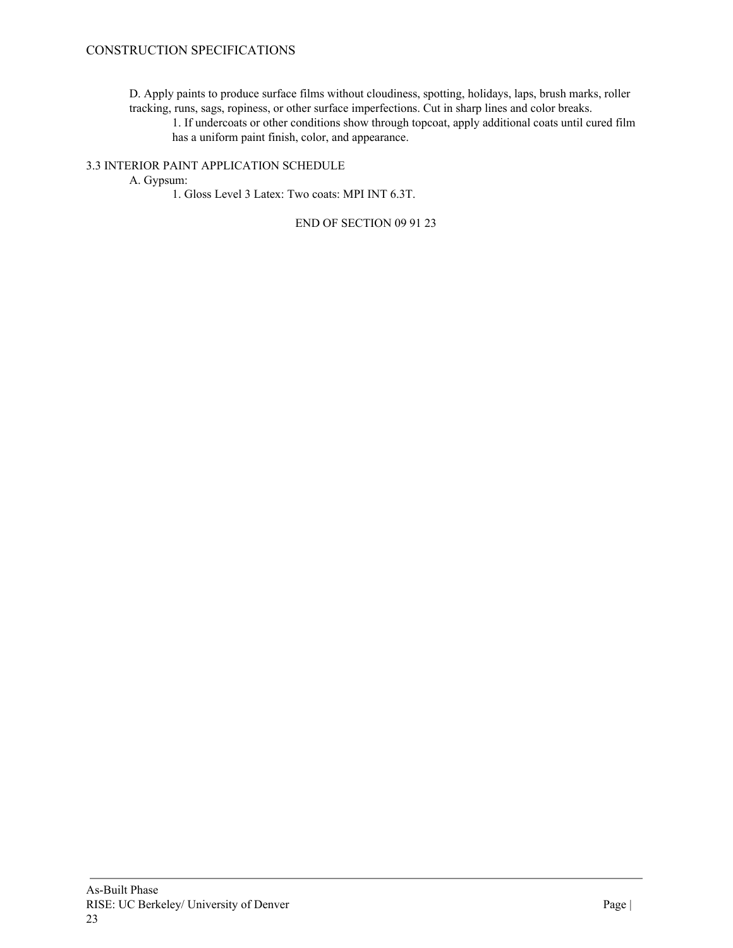D. Apply paints to produce surface films without cloudiness, spotting, holidays, laps, brush marks, roller tracking, runs, sags, ropiness, or other surface imperfections. Cut in sharp lines and color breaks.

1. If undercoats or other conditions show through topcoat, apply additional coats until cured film has a uniform paint finish, color, and appearance.

3.3 INTERIOR PAINT APPLICATION SCHEDULE

A. Gypsum:

1. Gloss Level 3 Latex: Two coats: MPI INT 6.3T.

END OF SECTION 09 91 23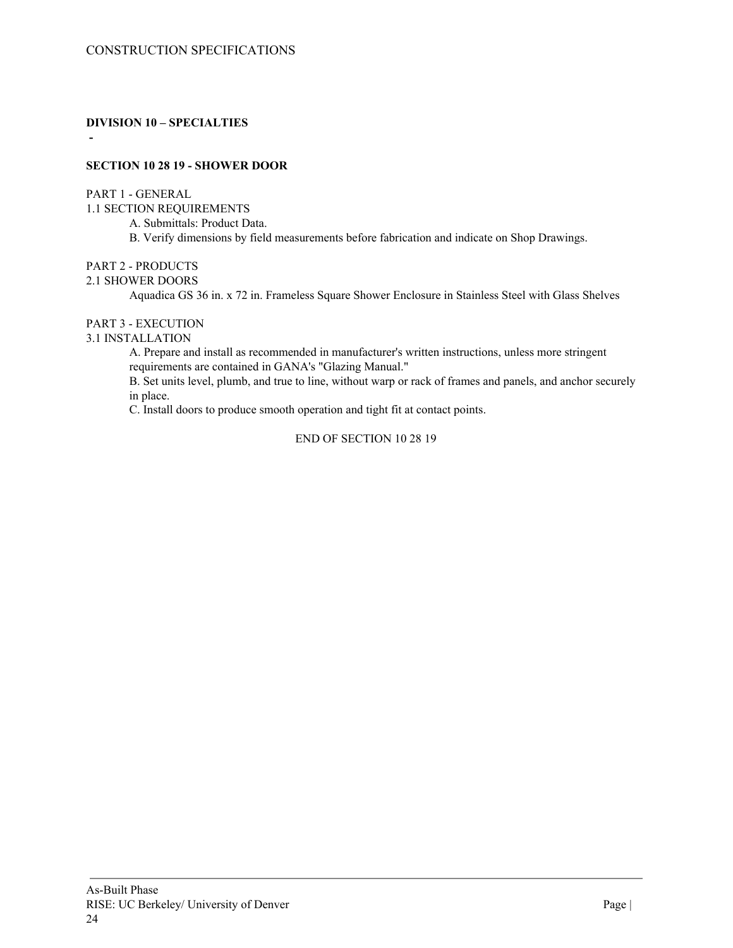**DIVISION 10 – SPECIALTIES**

## **SECTION 10 28 19 - SHOWER DOOR**

PART 1 - GENERAL

**-**

1.1 SECTION REQUIREMENTS

A. Submittals: Product Data.

B. Verify dimensions by field measurements before fabrication and indicate on Shop Drawings.

## PART 2 - PRODUCTS

#### 2.1 SHOWER DOORS

Aquadica GS 36 in. x 72 in. Frameless Square Shower Enclosure in Stainless Steel with Glass Shelves

## PART 3 - EXECUTION

#### 3.1 INSTALLATION

A. Prepare and install as recommended in manufacturer's written instructions, unless more stringent requirements are contained in GANA's "Glazing Manual."

B. Set units level, plumb, and true to line, without warp or rack of frames and panels, and anchor securely in place.

C. Install doors to produce smooth operation and tight fit at contact points.

#### END OF SECTION 10 28 19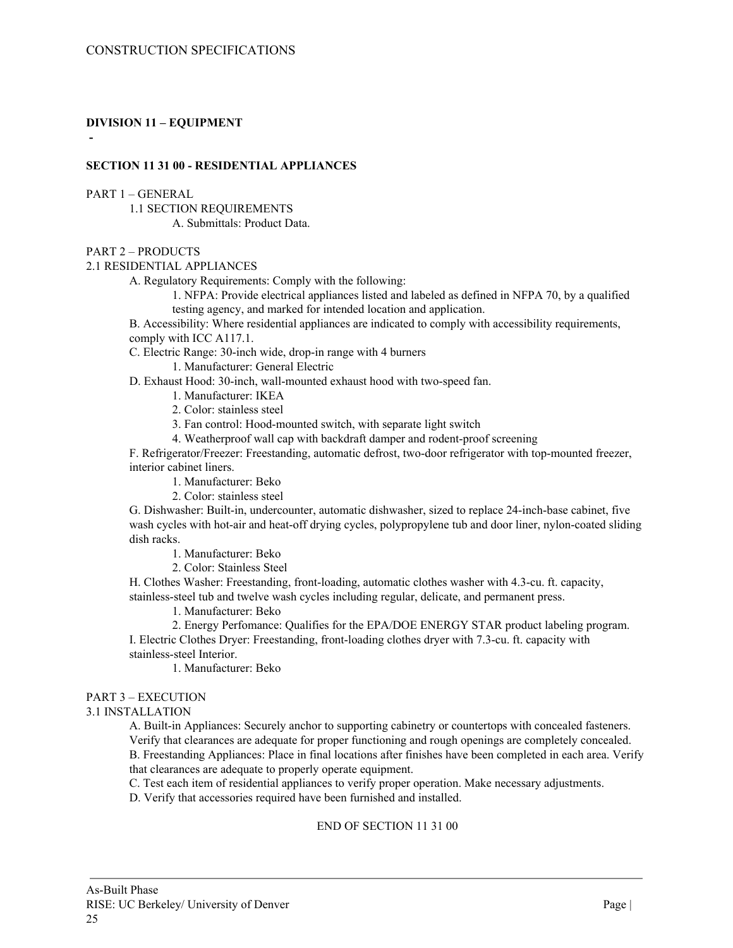## **DIVISION 11 – EQUIPMENT**

**-**

## **SECTION 11 31 00 - RESIDENTIAL APPLIANCES**

PART 1 – GENERAL

1.1 SECTION REQUIREMENTS A. Submittals: Product Data.

#### PART 2 – PRODUCTS

2.1 RESIDENTIAL APPLIANCES

A. Regulatory Requirements: Comply with the following:

1. NFPA: Provide electrical appliances listed and labeled as defined in NFPA 70, by a qualified testing agency, and marked for intended location and application.

B. Accessibility: Where residential appliances are indicated to comply with accessibility requirements, comply with ICC A117.1.

C. Electric Range: 30-inch wide, drop-in range with 4 burners

1. Manufacturer: General Electric

D. Exhaust Hood: 30-inch, wall-mounted exhaust hood with two-speed fan.

- 1. Manufacturer: IKEA
- 2. Color: stainless steel

3. Fan control: Hood-mounted switch, with separate light switch

4. Weatherproof wall cap with backdraft damper and rodent-proof screening

F. Refrigerator/Freezer: Freestanding, automatic defrost, two-door refrigerator with top-mounted freezer, interior cabinet liners.

- 1. Manufacturer: Beko
- 2. Color: stainless steel

G. Dishwasher: Built-in, undercounter, automatic dishwasher, sized to replace 24-inch-base cabinet, five wash cycles with hot-air and heat-off drying cycles, polypropylene tub and door liner, nylon-coated sliding dish racks.

1. Manufacturer: Beko

2. Color: Stainless Steel

H. Clothes Washer: Freestanding, front-loading, automatic clothes washer with 4.3-cu. ft. capacity, stainless-steel tub and twelve wash cycles including regular, delicate, and permanent press.

1. Manufacturer: Beko

2. Energy Perfomance: Qualifies for the EPA/DOE ENERGY STAR product labeling program.

I. Electric Clothes Dryer: Freestanding, front-loading clothes dryer with 7.3-cu. ft. capacity with stainless-steel Interior.

1. Manufacturer: Beko

## PART 3 – EXECUTION

## 3.1 INSTALLATION

A. Built-in Appliances: Securely anchor to supporting cabinetry or countertops with concealed fasteners. Verify that clearances are adequate for proper functioning and rough openings are completely concealed. B. Freestanding Appliances: Place in final locations after finishes have been completed in each area. Verify that clearances are adequate to properly operate equipment.

C. Test each item of residential appliances to verify proper operation. Make necessary adjustments.

D. Verify that accessories required have been furnished and installed.

## END OF SECTION 11 31 00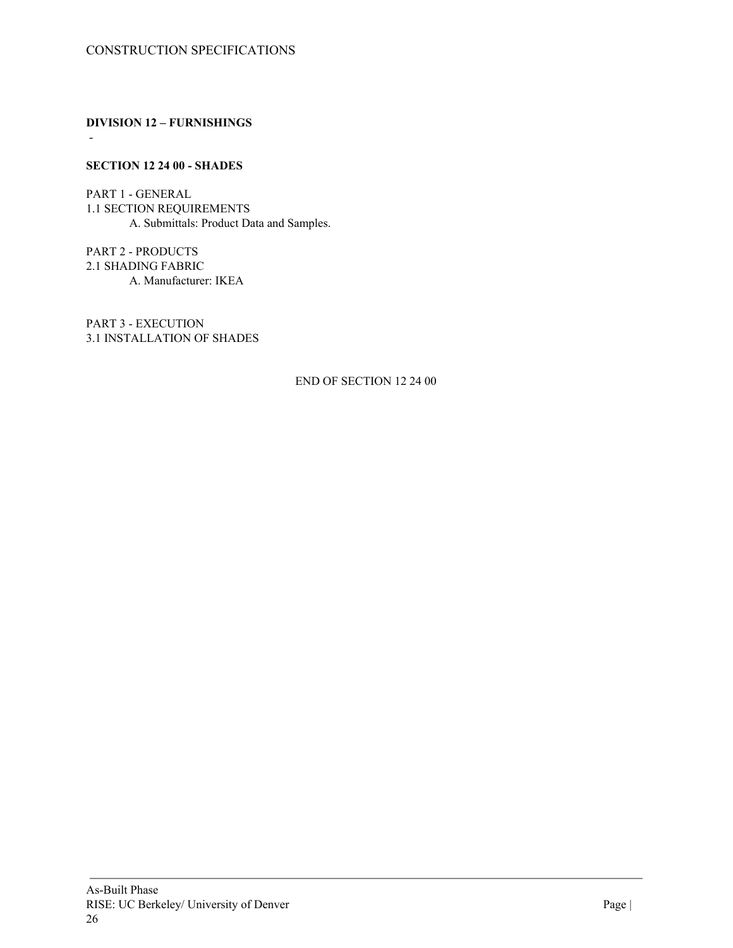**DIVISION 12 – FURNISHINGS**

## **SECTION 12 24 00 - SHADES**

-

PART 1 - GENERAL 1.1 SECTION REQUIREMENTS A. Submittals: Product Data and Samples.

PART 2 - PRODUCTS 2.1 SHADING FABRIC A. Manufacturer: IKEA

PART 3 - EXECUTION 3.1 INSTALLATION OF SHADES

END OF SECTION 12 24 00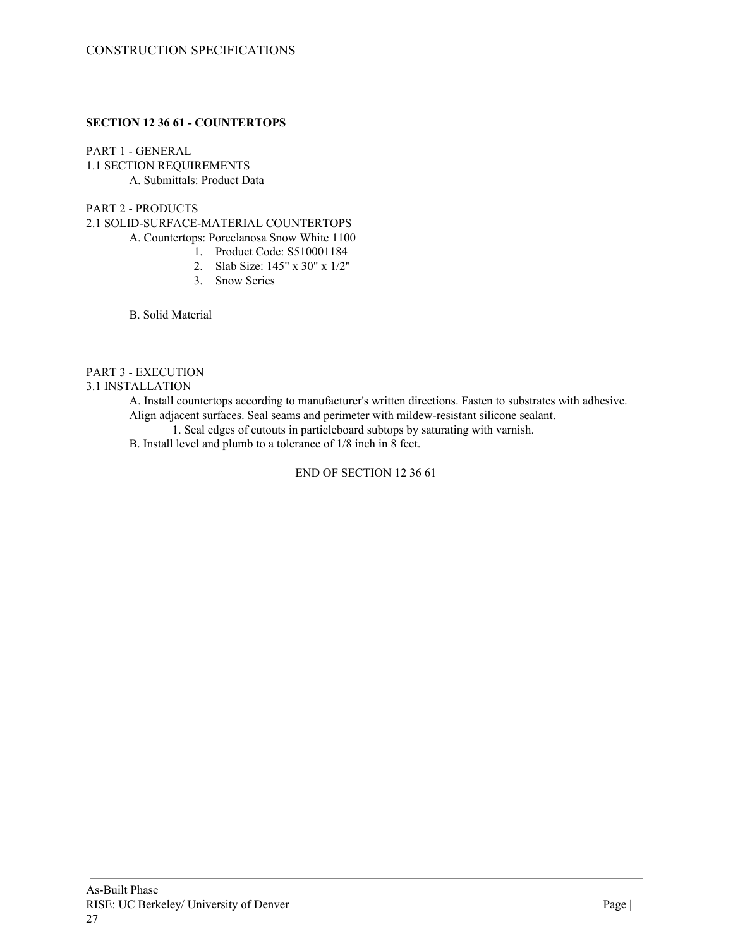## **SECTION 12 36 61 - COUNTERTOPS**

PART 1 - GENERAL 1.1 SECTION REQUIREMENTS A. Submittals: Product Data

## PART 2 - PRODUCTS

2.1 SOLID-SURFACE-MATERIAL COUNTERTOPS

A. Countertops: Porcelanosa Snow White 1100

- 1. Product Code: S510001184
- 2. Slab Size: 145" x 30" x 1/2"
- 3. Snow Series

B. Solid Material

## PART 3 - EXECUTION

#### 3.1 INSTALLATION

A. Install countertops according to manufacturer's written directions. Fasten to substrates with adhesive. Align adjacent surfaces. Seal seams and perimeter with mildew-resistant silicone sealant.

1. Seal edges of cutouts in particleboard subtops by saturating with varnish.

B. Install level and plumb to a tolerance of 1/8 inch in 8 feet.

END OF SECTION 12 36 61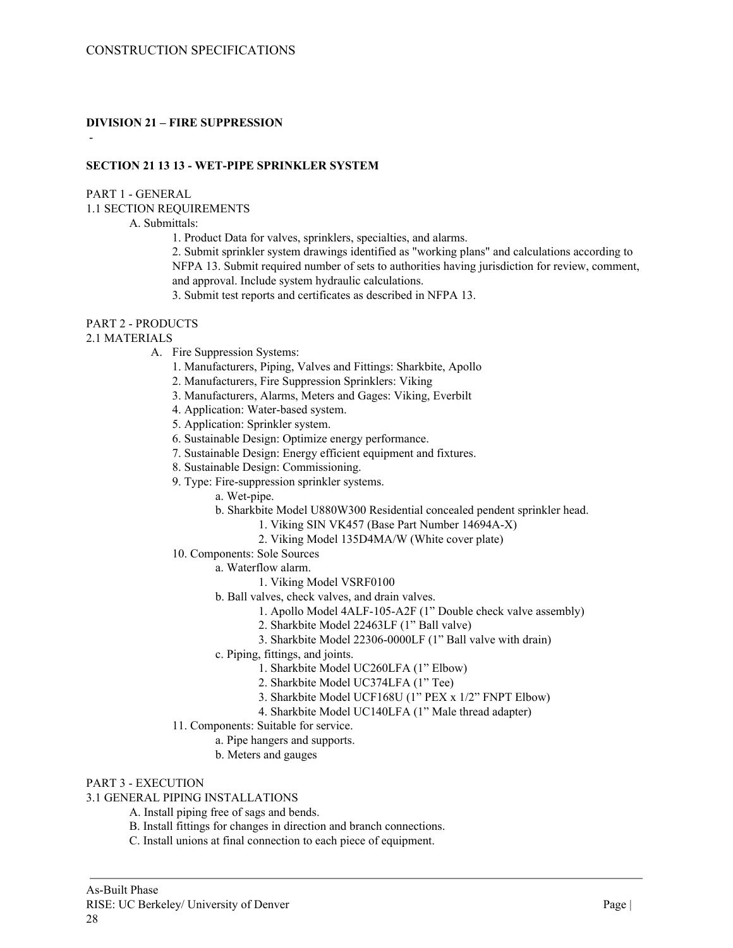## **DIVISION 21 – FIRE SUPPRESSION**

## **SECTION 21 13 13 - WET-PIPE SPRINKLER SYSTEM**

#### PART 1 - GENERAL

-

1.1 SECTION REQUIREMENTS

A. Submittals:

1. Product Data for valves, sprinklers, specialties, and alarms.

2. Submit sprinkler system drawings identified as "working plans" and calculations according to NFPA 13. Submit required number of sets to authorities having jurisdiction for review, comment, and approval. Include system hydraulic calculations.

3. Submit test reports and certificates as described in NFPA 13.

## PART 2 - PRODUCTS

#### 2.1 MATERIALS

- A. Fire Suppression Systems:
	- 1. Manufacturers, Piping, Valves and Fittings: Sharkbite, Apollo
	- 2. Manufacturers, Fire Suppression Sprinklers: Viking
	- 3. Manufacturers, Alarms, Meters and Gages: Viking, Everbilt
	- 4. Application: Water-based system.
	- 5. Application: Sprinkler system.
	- 6. Sustainable Design: Optimize energy performance.
	- 7. Sustainable Design: Energy efficient equipment and fixtures.
	- 8. Sustainable Design: Commissioning.
	- 9. Type: Fire-suppression sprinkler systems.
		- a. Wet-pipe.
		- b. Sharkbite Model U880W300 Residential concealed pendent sprinkler head.
			- 1. Viking SIN VK457 (Base Part Number 14694A-X)
			- 2. Viking Model 135D4MA/W (White cover plate)
	- 10. Components: Sole Sources
		- a. Waterflow alarm.
			- 1. Viking Model VSRF0100
		- b. Ball valves, check valves, and drain valves.
			- 1. Apollo Model 4ALF-105-A2F (1" Double check valve assembly)
			- 2. Sharkbite Model 22463LF (1" Ball valve)
			- 3. Sharkbite Model 22306-0000LF (1" Ball valve with drain)
		- c. Piping, fittings, and joints.
			- 1. Sharkbite Model UC260LFA (1" Elbow)
			- 2. Sharkbite Model UC374LFA (1" Tee)
			- 3. Sharkbite Model UCF168U (1" PEX x 1/2" FNPT Elbow)
			- 4. Sharkbite Model UC140LFA (1" Male thread adapter)
	- 11. Components: Suitable for service.
		- a. Pipe hangers and supports.
		- b. Meters and gauges

## PART 3 - EXECUTION

3.1 GENERAL PIPING INSTALLATIONS

- A. Install piping free of sags and bends.
- B. Install fittings for changes in direction and branch connections.
- C. Install unions at final connection to each piece of equipment.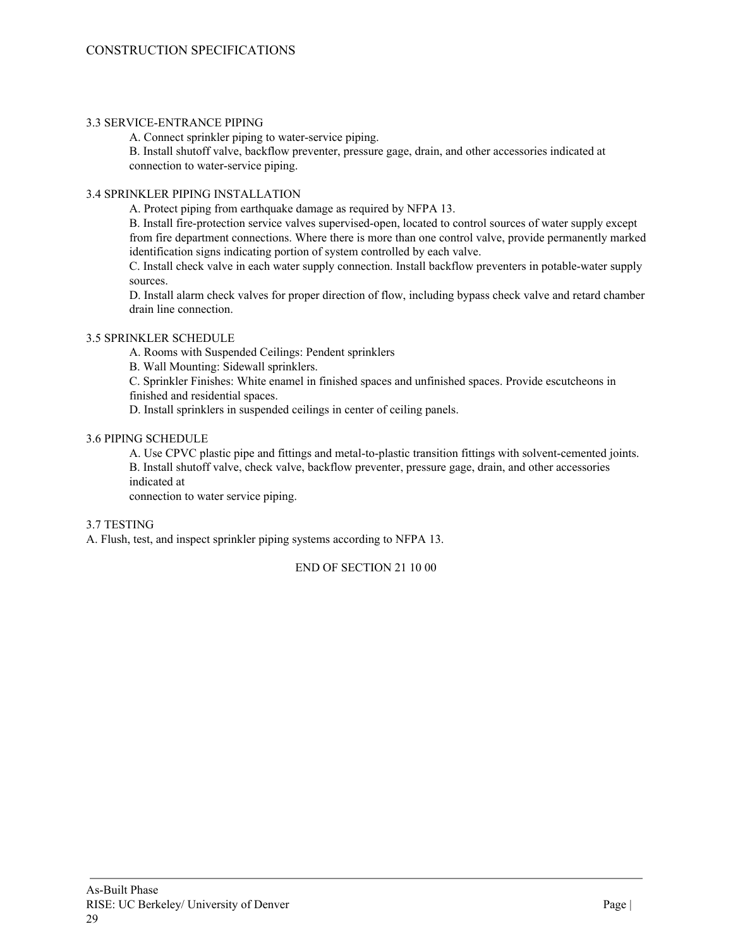## 3.3 SERVICE-ENTRANCE PIPING

A. Connect sprinkler piping to water-service piping.

B. Install shutoff valve, backflow preventer, pressure gage, drain, and other accessories indicated at connection to water-service piping.

## 3.4 SPRINKLER PIPING INSTALLATION

A. Protect piping from earthquake damage as required by NFPA 13.

B. Install fire-protection service valves supervised-open, located to control sources of water supply except from fire department connections. Where there is more than one control valve, provide permanently marked identification signs indicating portion of system controlled by each valve.

C. Install check valve in each water supply connection. Install backflow preventers in potable-water supply sources.

D. Install alarm check valves for proper direction of flow, including bypass check valve and retard chamber drain line connection.

## 3.5 SPRINKLER SCHEDULE

A. Rooms with Suspended Ceilings: Pendent sprinklers

B. Wall Mounting: Sidewall sprinklers.

C. Sprinkler Finishes: White enamel in finished spaces and unfinished spaces. Provide escutcheons in

finished and residential spaces.

D. Install sprinklers in suspended ceilings in center of ceiling panels.

## 3.6 PIPING SCHEDULE

A. Use CPVC plastic pipe and fittings and metal-to-plastic transition fittings with solvent-cemented joints. B. Install shutoff valve, check valve, backflow preventer, pressure gage, drain, and other accessories indicated at

connection to water service piping.

## 3.7 TESTING

A. Flush, test, and inspect sprinkler piping systems according to NFPA 13.

END OF SECTION 21 10 00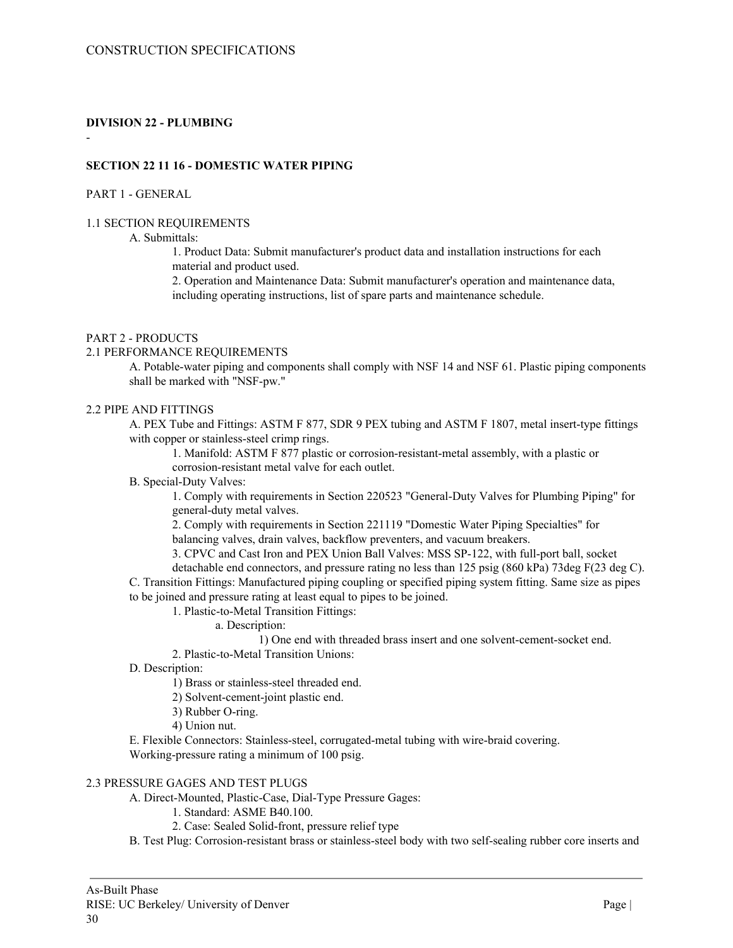## **DIVISION 22 - PLUMBING**

## **SECTION 22 11 16 - DOMESTIC WATER PIPING**

#### PART 1 - GENERAL

-

#### 1.1 SECTION REQUIREMENTS

### A. Submittals:

1. Product Data: Submit manufacturer's product data and installation instructions for each material and product used.

2. Operation and Maintenance Data: Submit manufacturer's operation and maintenance data, including operating instructions, list of spare parts and maintenance schedule.

#### PART 2 - PRODUCTS

#### 2.1 PERFORMANCE REQUIREMENTS

A. Potable-water piping and components shall comply with NSF 14 and NSF 61. Plastic piping components shall be marked with "NSF-pw."

### 2.2 PIPE AND FITTINGS

A. PEX Tube and Fittings: ASTM F 877, SDR 9 PEX tubing and ASTM F 1807, metal insert-type fittings with copper or stainless-steel crimp rings.

1. Manifold: ASTM F 877 plastic or corrosion-resistant-metal assembly, with a plastic or corrosion-resistant metal valve for each outlet.

#### B. Special-Duty Valves:

1. Comply with requirements in Section 220523 "General-Duty Valves for Plumbing Piping" for general-duty metal valves.

2. Comply with requirements in Section 221119 "Domestic Water Piping Specialties" for balancing valves, drain valves, backflow preventers, and vacuum breakers.

3. CPVC and Cast Iron and PEX Union Ball Valves: MSS SP-122, with full-port ball, socket

detachable end connectors, and pressure rating no less than 125 psig (860 kPa) 73deg F(23 deg C). C. Transition Fittings: Manufactured piping coupling or specified piping system fitting. Same size as pipes to be joined and pressure rating at least equal to pipes to be joined.

- 1. Plastic-to-Metal Transition Fittings:
	- a. Description:
		- 1) One end with threaded brass insert and one solvent-cement-socket end.
- 2. Plastic-to-Metal Transition Unions:

D. Description:

1) Brass or stainless-steel threaded end.

- 2) Solvent-cement-joint plastic end.
- 3) Rubber O-ring.
- 4) Union nut.

E. Flexible Connectors: Stainless-steel, corrugated-metal tubing with wire-braid covering. Working-pressure rating a minimum of 100 psig.

#### 2.3 PRESSURE GAGES AND TEST PLUGS

A. Direct-Mounted, Plastic-Case, Dial-Type Pressure Gages:

- 1. Standard: ASME B40.100.
- 2. Case: Sealed Solid-front, pressure relief type

B. Test Plug: Corrosion-resistant brass or stainless-steel body with two self-sealing rubber core inserts and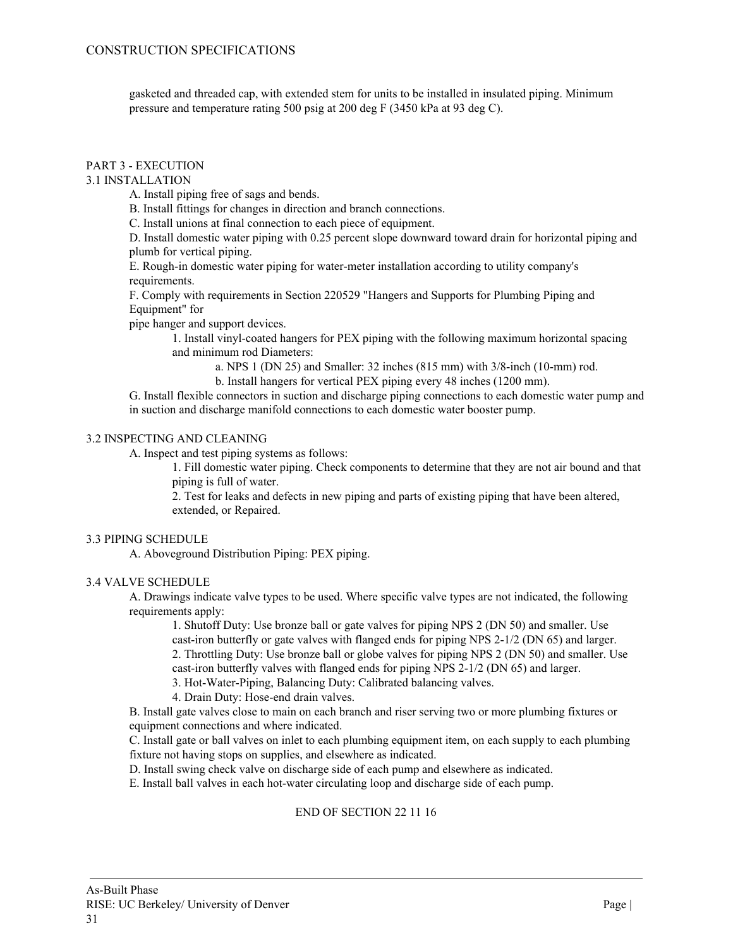gasketed and threaded cap, with extended stem for units to be installed in insulated piping. Minimum pressure and temperature rating 500 psig at 200 deg F (3450 kPa at 93 deg C).

## PART 3 - EXECUTION

## 3.1 INSTALLATION

A. Install piping free of sags and bends.

B. Install fittings for changes in direction and branch connections.

C. Install unions at final connection to each piece of equipment.

D. Install domestic water piping with 0.25 percent slope downward toward drain for horizontal piping and plumb for vertical piping.

E. Rough-in domestic water piping for water-meter installation according to utility company's requirements.

F. Comply with requirements in Section 220529 "Hangers and Supports for Plumbing Piping and Equipment" for

pipe hanger and support devices.

1. Install vinyl-coated hangers for PEX piping with the following maximum horizontal spacing and minimum rod Diameters:

a. NPS 1 (DN 25) and Smaller: 32 inches (815 mm) with 3/8-inch (10-mm) rod.

b. Install hangers for vertical PEX piping every 48 inches (1200 mm).

G. Install flexible connectors in suction and discharge piping connections to each domestic water pump and in suction and discharge manifold connections to each domestic water booster pump.

## 3.2 INSPECTING AND CLEANING

A. Inspect and test piping systems as follows:

1. Fill domestic water piping. Check components to determine that they are not air bound and that piping is full of water.

2. Test for leaks and defects in new piping and parts of existing piping that have been altered, extended, or Repaired.

## 3.3 PIPING SCHEDULE

A. Aboveground Distribution Piping: PEX piping.

## 3.4 VALVE SCHEDULE

A. Drawings indicate valve types to be used. Where specific valve types are not indicated, the following requirements apply:

1. Shutoff Duty: Use bronze ball or gate valves for piping NPS 2 (DN 50) and smaller. Use cast-iron butterfly or gate valves with flanged ends for piping NPS 2-1/2 (DN 65) and larger. 2. Throttling Duty: Use bronze ball or globe valves for piping NPS 2 (DN 50) and smaller. Use cast-iron butterfly valves with flanged ends for piping NPS 2-1/2 (DN 65) and larger.

3. Hot-Water-Piping, Balancing Duty: Calibrated balancing valves.

4. Drain Duty: Hose-end drain valves.

B. Install gate valves close to main on each branch and riser serving two or more plumbing fixtures or equipment connections and where indicated.

C. Install gate or ball valves on inlet to each plumbing equipment item, on each supply to each plumbing fixture not having stops on supplies, and elsewhere as indicated.

D. Install swing check valve on discharge side of each pump and elsewhere as indicated.

E. Install ball valves in each hot-water circulating loop and discharge side of each pump.

#### END OF SECTION 22 11 16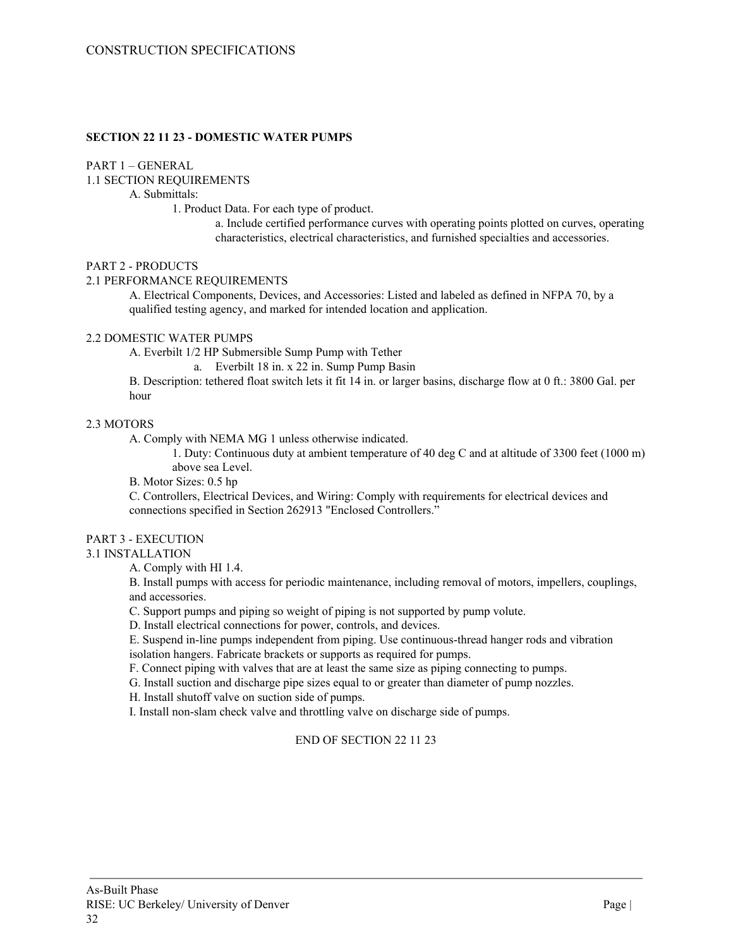### **SECTION 22 11 23 - DOMESTIC WATER PUMPS**

## PART 1 – GENERAL

1.1 SECTION REQUIREMENTS

A. Submittals:

1. Product Data. For each type of product.

a. Include certified performance curves with operating points plotted on curves, operating characteristics, electrical characteristics, and furnished specialties and accessories.

#### PART 2 - PRODUCTS

#### 2.1 PERFORMANCE REQUIREMENTS

A. Electrical Components, Devices, and Accessories: Listed and labeled as defined in NFPA 70, by a qualified testing agency, and marked for intended location and application.

#### 2.2 DOMESTIC WATER PUMPS

A. Everbilt 1/2 HP Submersible Sump Pump with Tether

a. Everbilt 18 in. x 22 in. Sump Pump Basin

B. Description: tethered float switch lets it fit 14 in. or larger basins, discharge flow at 0 ft.: 3800 Gal. per hour

#### 2.3 MOTORS

A. Comply with NEMA MG 1 unless otherwise indicated.

1. Duty: Continuous duty at ambient temperature of 40 deg C and at altitude of 3300 feet (1000 m) above sea Level.

B. Motor Sizes: 0.5 hp

C. Controllers, Electrical Devices, and Wiring: Comply with requirements for electrical devices and connections specified in Section 262913 "Enclosed Controllers."

## PART 3 - EXECUTION

## 3.1 INSTALLATION

A. Comply with HI 1.4.

B. Install pumps with access for periodic maintenance, including removal of motors, impellers, couplings, and accessories.

C. Support pumps and piping so weight of piping is not supported by pump volute.

D. Install electrical connections for power, controls, and devices.

E. Suspend in-line pumps independent from piping. Use continuous-thread hanger rods and vibration isolation hangers. Fabricate brackets or supports as required for pumps.

F. Connect piping with valves that are at least the same size as piping connecting to pumps.

G. Install suction and discharge pipe sizes equal to or greater than diameter of pump nozzles.

H. Install shutoff valve on suction side of pumps.

I. Install non-slam check valve and throttling valve on discharge side of pumps.

## END OF SECTION 22 11 23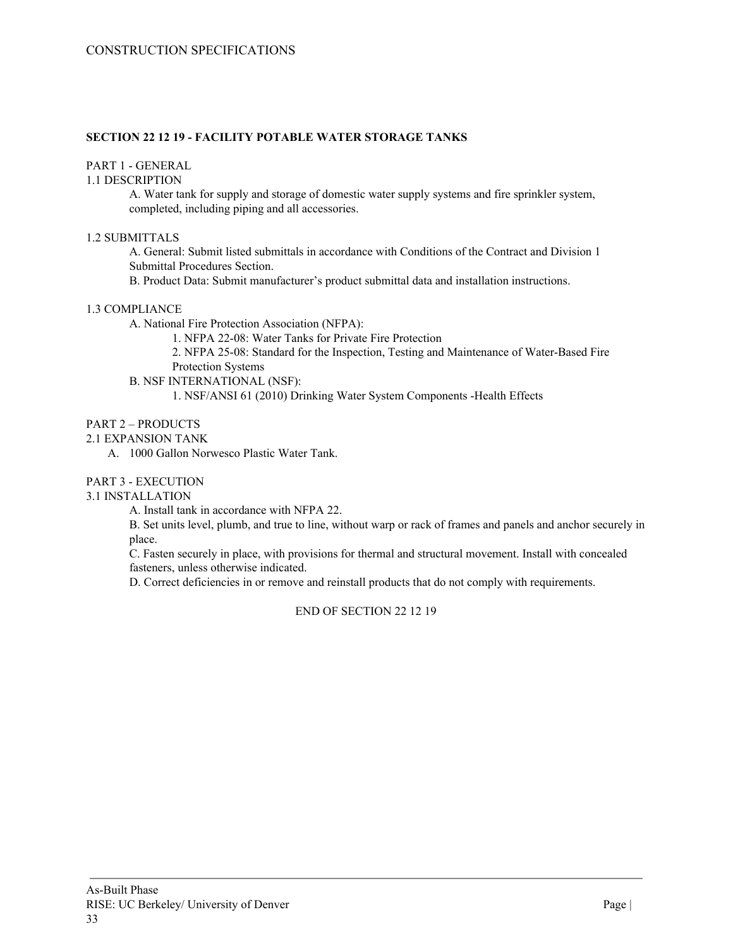## **SECTION 22 12 19 - FACILITY POTABLE WATER STORAGE TANKS**

## PART 1 - GENERAL

### 1.1 DESCRIPTION

A. Water tank for supply and storage of domestic water supply systems and fire sprinkler system, completed, including piping and all accessories.

### 1.2 SUBMITTALS

A. General: Submit listed submittals in accordance with Conditions of the Contract and Division 1 Submittal Procedures Section.

B. Product Data: Submit manufacturer's product submittal data and installation instructions.

## 1.3 COMPLIANCE

A. National Fire Protection Association (NFPA):

1. NFPA 22-08: Water Tanks for Private Fire Protection

2. NFPA 25-08: Standard for the Inspection, Testing and Maintenance of Water-Based Fire Protection Systems

B. NSF INTERNATIONAL (NSF):

1. NSF/ANSI 61 (2010) Drinking Water System Components -Health Effects

#### PART 2 – PRODUCTS

## 2.1 EXPANSION TANK

A. 1000 Gallon Norwesco Plastic Water Tank.

## PART 3 - EXECUTION

## 3.1 INSTALLATION

A. Install tank in accordance with NFPA 22.

B. Set units level, plumb, and true to line, without warp or rack of frames and panels and anchor securely in place.

C. Fasten securely in place, with provisions for thermal and structural movement. Install with concealed fasteners, unless otherwise indicated.

D. Correct deficiencies in or remove and reinstall products that do not comply with requirements.

END OF SECTION 22 12 19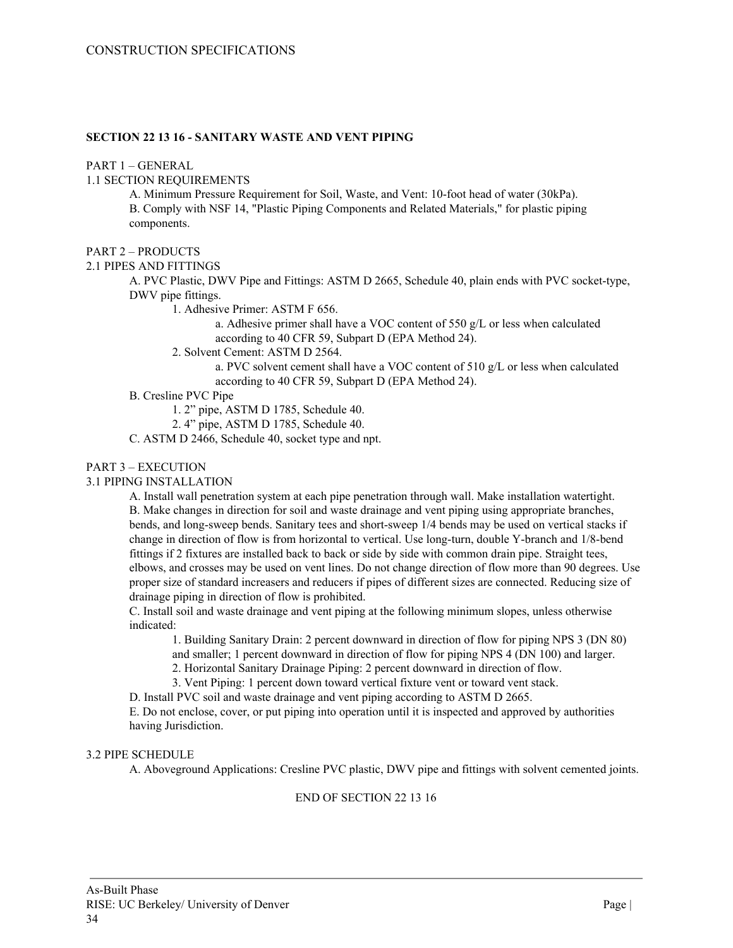### **SECTION 22 13 16 - SANITARY WASTE AND VENT PIPING**

#### PART 1 – GENERAL

1.1 SECTION REQUIREMENTS

A. Minimum Pressure Requirement for Soil, Waste, and Vent: 10-foot head of water (30kPa). B. Comply with NSF 14, "Plastic Piping Components and Related Materials," for plastic piping components.

#### PART 2 – PRODUCTS

#### 2.1 PIPES AND FITTINGS

A. PVC Plastic, DWV Pipe and Fittings: ASTM D 2665, Schedule 40, plain ends with PVC socket-type, DWV pipe fittings.

1. Adhesive Primer: ASTM F 656.

a. Adhesive primer shall have a VOC content of 550 g/L or less when calculated according to 40 CFR 59, Subpart D (EPA Method 24).

2. Solvent Cement: ASTM D 2564.

a. PVC solvent cement shall have a VOC content of 510 g/L or less when calculated according to 40 CFR 59, Subpart D (EPA Method 24).

## B. Cresline PVC Pipe

1. 2" pipe, ASTM D 1785, Schedule 40.

2. 4" pipe, ASTM D 1785, Schedule 40.

C. ASTM D 2466, Schedule 40, socket type and npt.

## PART 3 – EXECUTION

## 3.1 PIPING INSTALLATION

A. Install wall penetration system at each pipe penetration through wall. Make installation watertight. B. Make changes in direction for soil and waste drainage and vent piping using appropriate branches, bends, and long-sweep bends. Sanitary tees and short-sweep 1/4 bends may be used on vertical stacks if change in direction of flow is from horizontal to vertical. Use long-turn, double Y-branch and 1/8-bend fittings if 2 fixtures are installed back to back or side by side with common drain pipe. Straight tees, elbows, and crosses may be used on vent lines. Do not change direction of flow more than 90 degrees. Use proper size of standard increasers and reducers if pipes of different sizes are connected. Reducing size of drainage piping in direction of flow is prohibited.

C. Install soil and waste drainage and vent piping at the following minimum slopes, unless otherwise indicated:

1. Building Sanitary Drain: 2 percent downward in direction of flow for piping NPS 3 (DN 80) and smaller; 1 percent downward in direction of flow for piping NPS 4 (DN 100) and larger.

2. Horizontal Sanitary Drainage Piping: 2 percent downward in direction of flow.

3. Vent Piping: 1 percent down toward vertical fixture vent or toward vent stack.

D. Install PVC soil and waste drainage and vent piping according to ASTM D 2665.

E. Do not enclose, cover, or put piping into operation until it is inspected and approved by authorities having Jurisdiction.

## 3.2 PIPE SCHEDULE

A. Aboveground Applications: Cresline PVC plastic, DWV pipe and fittings with solvent cemented joints.

## END OF SECTION 22 13 16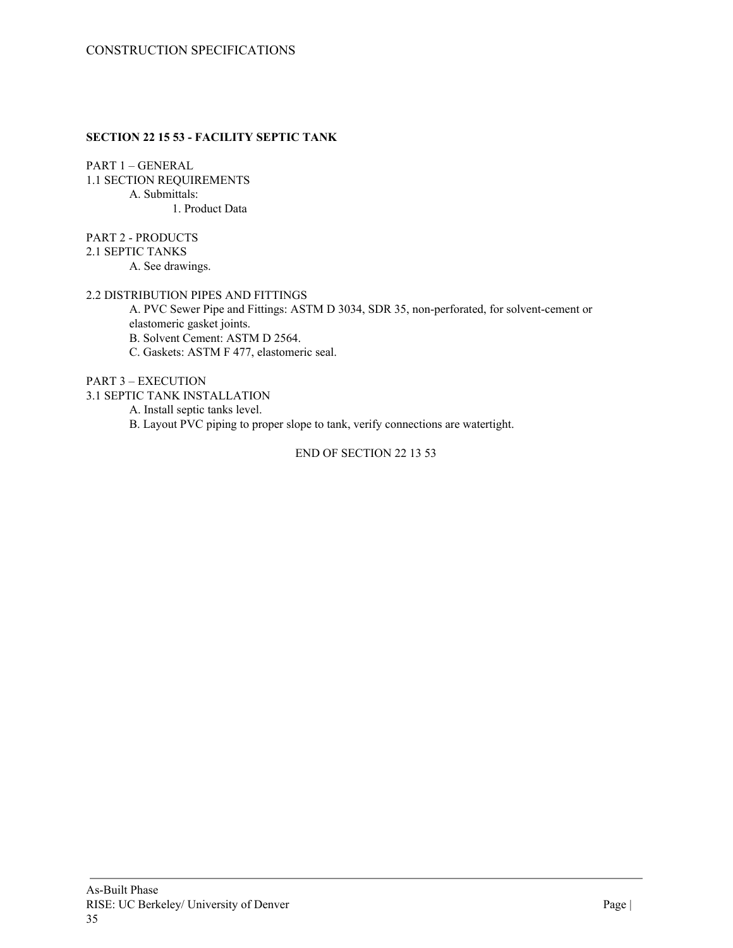## **SECTION 22 15 53 - FACILITY SEPTIC TANK**

PART 1 – GENERAL 1.1 SECTION REQUIREMENTS A. Submittals: 1. Product Data

PART 2 - PRODUCTS

2.1 SEPTIC TANKS

A. See drawings.

## 2.2 DISTRIBUTION PIPES AND FITTINGS

A. PVC Sewer Pipe and Fittings: ASTM D 3034, SDR 35, non-perforated, for solvent-cement or elastomeric gasket joints. B. Solvent Cement: ASTM D 2564.

C. Gaskets: ASTM F 477, elastomeric seal.

PART 3 – EXECUTION

3.1 SEPTIC TANK INSTALLATION

A. Install septic tanks level.

B. Layout PVC piping to proper slope to tank, verify connections are watertight.

END OF SECTION 22 13 53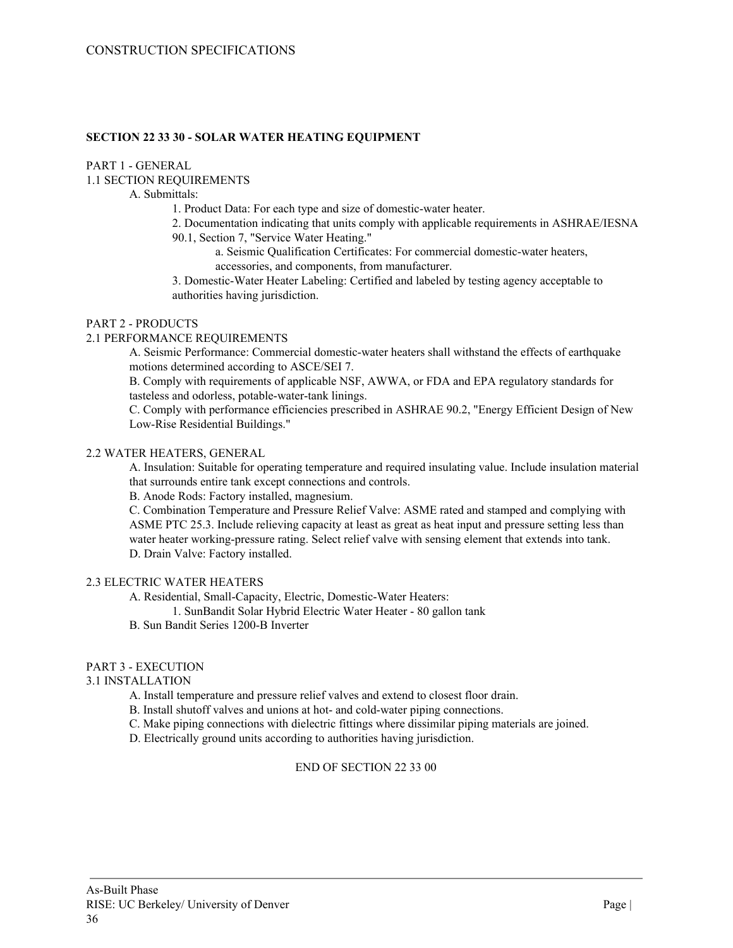### **SECTION 22 33 30 - SOLAR WATER HEATING EQUIPMENT**

## PART 1 - GENERAL

#### 1.1 SECTION REQUIREMENTS

A. Submittals:

1. Product Data: For each type and size of domestic-water heater.

2. Documentation indicating that units comply with applicable requirements in ASHRAE/IESNA 90.1, Section 7, "Service Water Heating."

a. Seismic Qualification Certificates: For commercial domestic-water heaters, accessories, and components, from manufacturer.

3. Domestic-Water Heater Labeling: Certified and labeled by testing agency acceptable to authorities having jurisdiction.

### PART 2 - PRODUCTS

## 2.1 PERFORMANCE REQUIREMENTS

A. Seismic Performance: Commercial domestic-water heaters shall withstand the effects of earthquake motions determined according to ASCE/SEI 7.

B. Comply with requirements of applicable NSF, AWWA, or FDA and EPA regulatory standards for tasteless and odorless, potable-water-tank linings.

C. Comply with performance efficiencies prescribed in ASHRAE 90.2, "Energy Efficient Design of New Low-Rise Residential Buildings."

#### 2.2 WATER HEATERS, GENERAL

A. Insulation: Suitable for operating temperature and required insulating value. Include insulation material that surrounds entire tank except connections and controls.

B. Anode Rods: Factory installed, magnesium.

C. Combination Temperature and Pressure Relief Valve: ASME rated and stamped and complying with ASME PTC 25.3. Include relieving capacity at least as great as heat input and pressure setting less than water heater working-pressure rating. Select relief valve with sensing element that extends into tank. D. Drain Valve: Factory installed.

#### 2.3 ELECTRIC WATER HEATERS

A. Residential, Small-Capacity, Electric, Domestic-Water Heaters:

1. SunBandit Solar Hybrid Electric Water Heater - 80 gallon tank

B. Sun Bandit Series 1200-B Inverter

## PART 3 - EXECUTION

## 3.1 INSTALLATION

A. Install temperature and pressure relief valves and extend to closest floor drain.

B. Install shutoff valves and unions at hot- and cold-water piping connections.

C. Make piping connections with dielectric fittings where dissimilar piping materials are joined.

D. Electrically ground units according to authorities having jurisdiction.

## END OF SECTION 22 33 00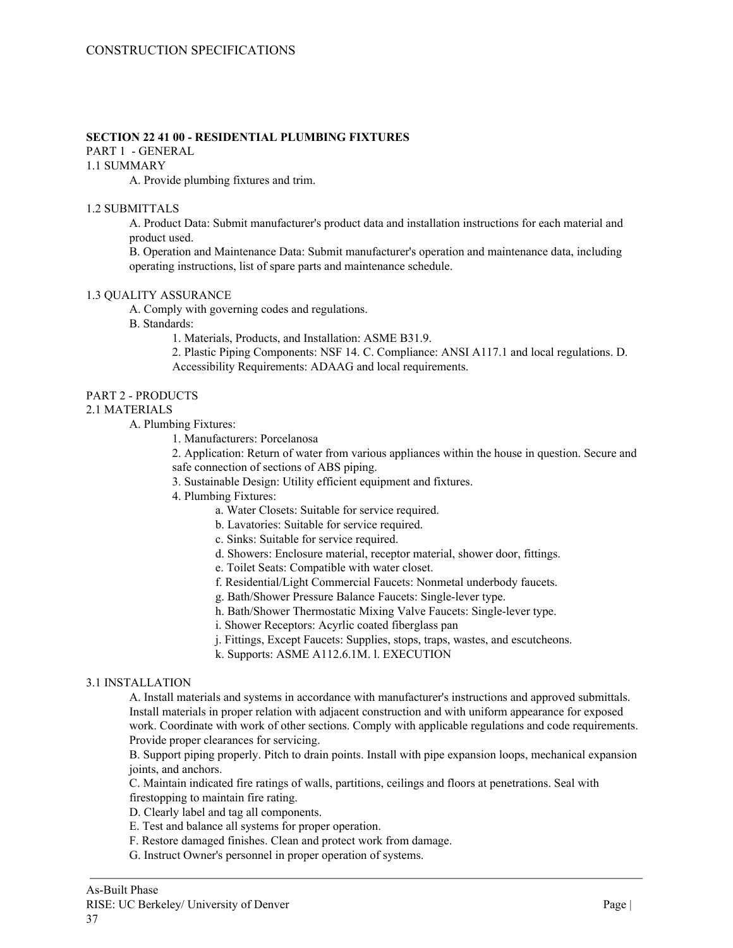## **SECTION 22 41 00 - RESIDENTIAL PLUMBING FIXTURES**

PART 1 - GENERAL

## 1.1 SUMMARY

A. Provide plumbing fixtures and trim.

#### 1.2 SUBMITTALS

A. Product Data: Submit manufacturer's product data and installation instructions for each material and product used.

B. Operation and Maintenance Data: Submit manufacturer's operation and maintenance data, including operating instructions, list of spare parts and maintenance schedule.

#### 1.3 QUALITY ASSURANCE

A. Comply with governing codes and regulations.

B. Standards:

1. Materials, Products, and Installation: ASME B31.9.

2. Plastic Piping Components: NSF 14. C. Compliance: ANSI A117.1 and local regulations. D. Accessibility Requirements: ADAAG and local requirements.

## PART 2 - PRODUCTS

#### 2.1 MATERIALS

A. Plumbing Fixtures:

1. Manufacturers: Porcelanosa

2. Application: Return of water from various appliances within the house in question. Secure and safe connection of sections of ABS piping.

- 3. Sustainable Design: Utility efficient equipment and fixtures.
- 4. Plumbing Fixtures:
	- a. Water Closets: Suitable for service required.
		- b. Lavatories: Suitable for service required.
		- c. Sinks: Suitable for service required.
		- d. Showers: Enclosure material, receptor material, shower door, fittings.
		- e. Toilet Seats: Compatible with water closet.
		- f. Residential/Light Commercial Faucets: Nonmetal underbody faucets.
		- g. Bath/Shower Pressure Balance Faucets: Single-lever type.
		- h. Bath/Shower Thermostatic Mixing Valve Faucets: Single-lever type.
		- i. Shower Receptors: Acyrlic coated fiberglass pan
		- j. Fittings, Except Faucets: Supplies, stops, traps, wastes, and escutcheons.
		- k. Supports: ASME A112.6.1M. l. EXECUTION

#### 3.1 INSTALLATION

A. Install materials and systems in accordance with manufacturer's instructions and approved submittals. Install materials in proper relation with adjacent construction and with uniform appearance for exposed work. Coordinate with work of other sections. Comply with applicable regulations and code requirements. Provide proper clearances for servicing.

B. Support piping properly. Pitch to drain points. Install with pipe expansion loops, mechanical expansion joints, and anchors.

C. Maintain indicated fire ratings of walls, partitions, ceilings and floors at penetrations. Seal with firestopping to maintain fire rating.

D. Clearly label and tag all components.

- E. Test and balance all systems for proper operation.
- F. Restore damaged finishes. Clean and protect work from damage.
- G. Instruct Owner's personnel in proper operation of systems.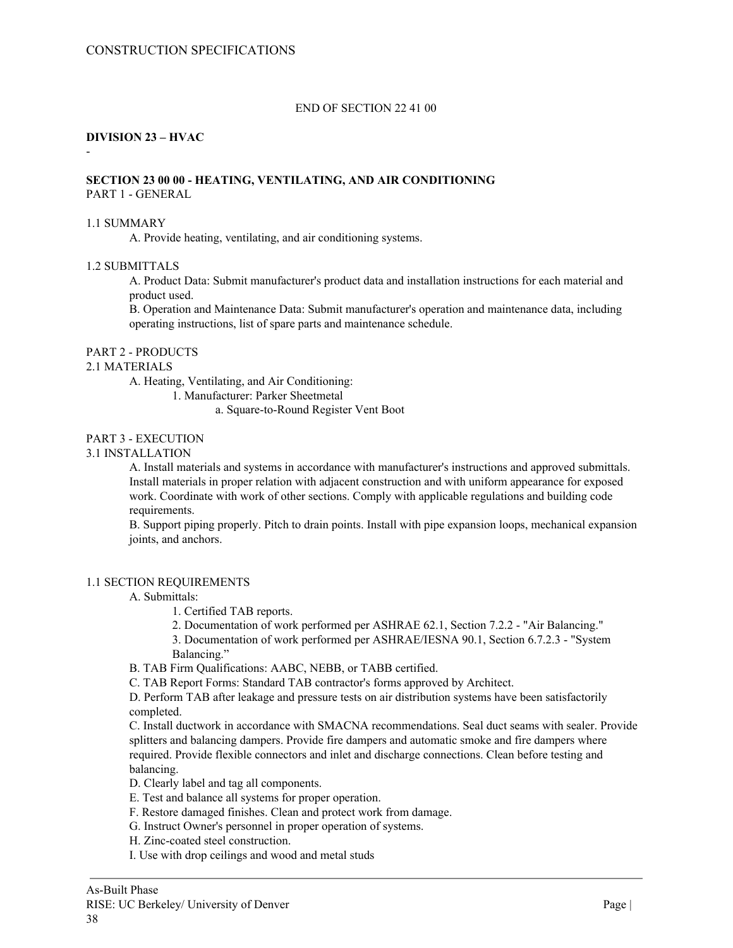## END OF SECTION 22 41 00

#### **DIVISION 23 – HVAC**

-

## **SECTION 23 00 00 - HEATING, VENTILATING, AND AIR CONDITIONING** PART 1 - GENERAL

#### 1.1 SUMMARY

A. Provide heating, ventilating, and air conditioning systems.

## 1.2 SUBMITTALS

A. Product Data: Submit manufacturer's product data and installation instructions for each material and product used.

B. Operation and Maintenance Data: Submit manufacturer's operation and maintenance data, including operating instructions, list of spare parts and maintenance schedule.

## PART 2 - PRODUCTS

#### 2.1 MATERIALS

A. Heating, Ventilating, and Air Conditioning:

1. Manufacturer: Parker Sheetmetal

a. Square-to-Round Register Vent Boot

#### PART 3 - EXECUTION

## 3.1 INSTALLATION

A. Install materials and systems in accordance with manufacturer's instructions and approved submittals. Install materials in proper relation with adjacent construction and with uniform appearance for exposed work. Coordinate with work of other sections. Comply with applicable regulations and building code requirements.

B. Support piping properly. Pitch to drain points. Install with pipe expansion loops, mechanical expansion joints, and anchors.

## 1.1 SECTION REQUIREMENTS

## A. Submittals:

- 1. Certified TAB reports.
- 2. Documentation of work performed per ASHRAE 62.1, Section 7.2.2 "Air Balancing."

3. Documentation of work performed per ASHRAE/IESNA 90.1, Section 6.7.2.3 - "System Balancing."

B. TAB Firm Qualifications: AABC, NEBB, or TABB certified.

C. TAB Report Forms: Standard TAB contractor's forms approved by Architect.

D. Perform TAB after leakage and pressure tests on air distribution systems have been satisfactorily completed.

C. Install ductwork in accordance with SMACNA recommendations. Seal duct seams with sealer. Provide splitters and balancing dampers. Provide fire dampers and automatic smoke and fire dampers where required. Provide flexible connectors and inlet and discharge connections. Clean before testing and balancing.

D. Clearly label and tag all components.

- E. Test and balance all systems for proper operation.
- F. Restore damaged finishes. Clean and protect work from damage.
- G. Instruct Owner's personnel in proper operation of systems.
- H. Zinc-coated steel construction.
- I. Use with drop ceilings and wood and metal studs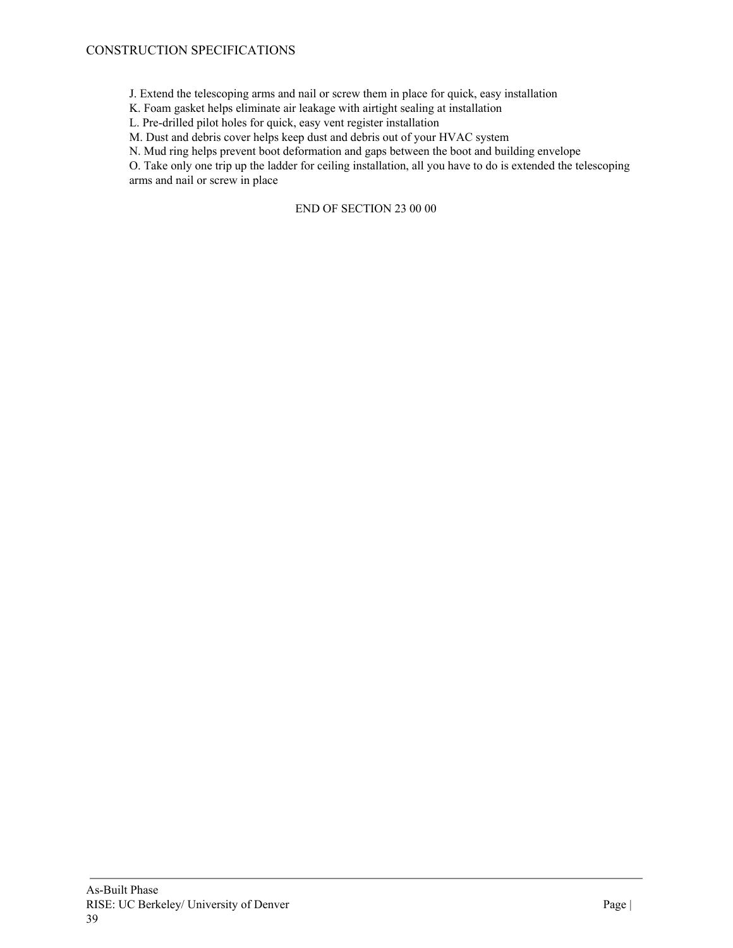## CONSTRUCTION SPECIFICATIONS

J. Extend the telescoping arms and nail or screw them in place for quick, easy installation

K. Foam gasket helps eliminate air leakage with airtight sealing at installation

L. Pre-drilled pilot holes for quick, easy vent register installation

M. Dust and debris cover helps keep dust and debris out of your HVAC system

N. Mud ring helps prevent boot deformation and gaps between the boot and building envelope

O. Take only one trip up the ladder for ceiling installation, all you have to do is extended the telescoping arms and nail or screw in place

#### END OF SECTION 23 00 00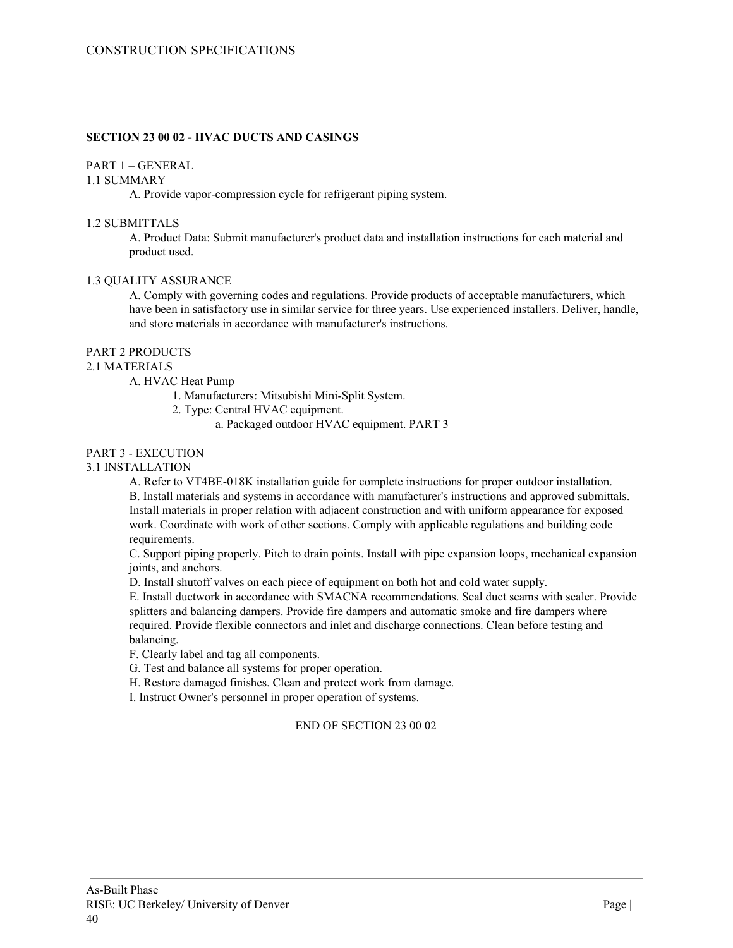## **SECTION 23 00 02 - HVAC DUCTS AND CASINGS**

## PART 1 – GENERAL

## 1.1 SUMMARY

A. Provide vapor-compression cycle for refrigerant piping system.

### 1.2 SUBMITTALS

A. Product Data: Submit manufacturer's product data and installation instructions for each material and product used.

#### 1.3 QUALITY ASSURANCE

A. Comply with governing codes and regulations. Provide products of acceptable manufacturers, which have been in satisfactory use in similar service for three years. Use experienced installers. Deliver, handle, and store materials in accordance with manufacturer's instructions.

## PART 2 PRODUCTS

## 2.1 MATERIALS

A. HVAC Heat Pump

- 1. Manufacturers: Mitsubishi Mini-Split System.
- 2. Type: Central HVAC equipment.
	- a. Packaged outdoor HVAC equipment. PART 3

# PART 3 - EXECUTION

## 3.1 INSTALLATION

A. Refer to VT4BE-018K installation guide for complete instructions for proper outdoor installation. B. Install materials and systems in accordance with manufacturer's instructions and approved submittals. Install materials in proper relation with adjacent construction and with uniform appearance for exposed work. Coordinate with work of other sections. Comply with applicable regulations and building code requirements.

C. Support piping properly. Pitch to drain points. Install with pipe expansion loops, mechanical expansion joints, and anchors.

D. Install shutoff valves on each piece of equipment on both hot and cold water supply.

E. Install ductwork in accordance with SMACNA recommendations. Seal duct seams with sealer. Provide splitters and balancing dampers. Provide fire dampers and automatic smoke and fire dampers where required. Provide flexible connectors and inlet and discharge connections. Clean before testing and balancing.

F. Clearly label and tag all components.

G. Test and balance all systems for proper operation.

H. Restore damaged finishes. Clean and protect work from damage.

I. Instruct Owner's personnel in proper operation of systems.

## END OF SECTION 23 00 02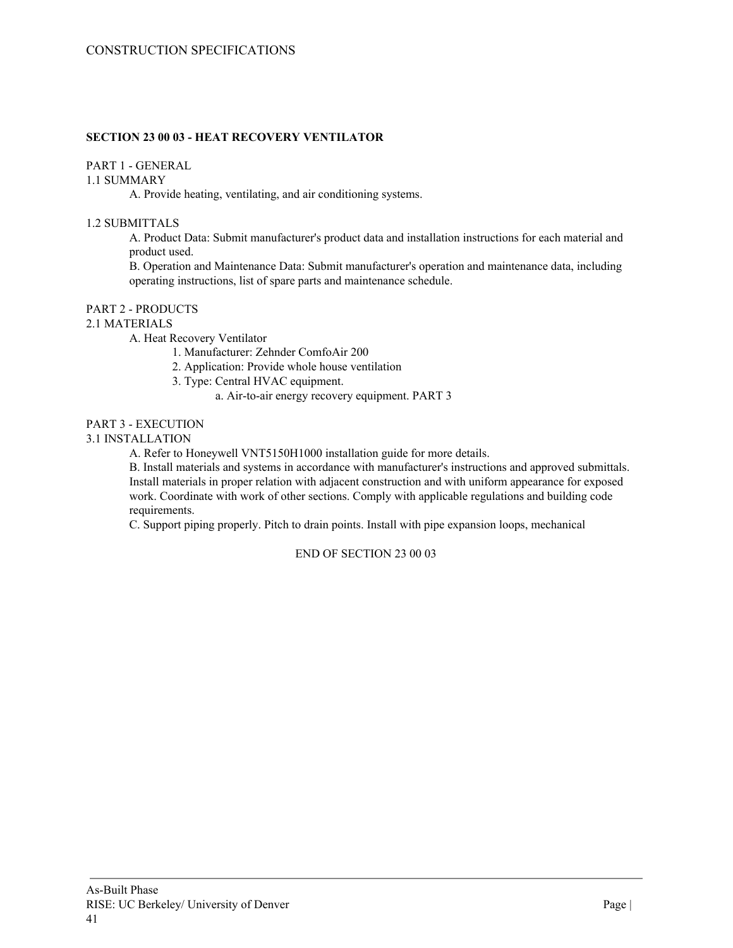## **SECTION 23 00 03 - HEAT RECOVERY VENTILATOR**

## PART 1 - GENERAL

1.1 SUMMARY

A. Provide heating, ventilating, and air conditioning systems.

## 1.2 SUBMITTALS

A. Product Data: Submit manufacturer's product data and installation instructions for each material and product used.

B. Operation and Maintenance Data: Submit manufacturer's operation and maintenance data, including operating instructions, list of spare parts and maintenance schedule.

## PART 2 - PRODUCTS

## 2.1 MATERIALS

A. Heat Recovery Ventilator

- 1. Manufacturer: Zehnder ComfoAir 200
- 2. Application: Provide whole house ventilation
- 3. Type: Central HVAC equipment.
	- a. Air-to-air energy recovery equipment. PART 3

#### PART 3 - EXECUTION

#### 3.1 INSTALLATION

A. Refer to Honeywell VNT5150H1000 installation guide for more details.

B. Install materials and systems in accordance with manufacturer's instructions and approved submittals. Install materials in proper relation with adjacent construction and with uniform appearance for exposed work. Coordinate with work of other sections. Comply with applicable regulations and building code requirements.

C. Support piping properly. Pitch to drain points. Install with pipe expansion loops, mechanical

END OF SECTION 23 00 03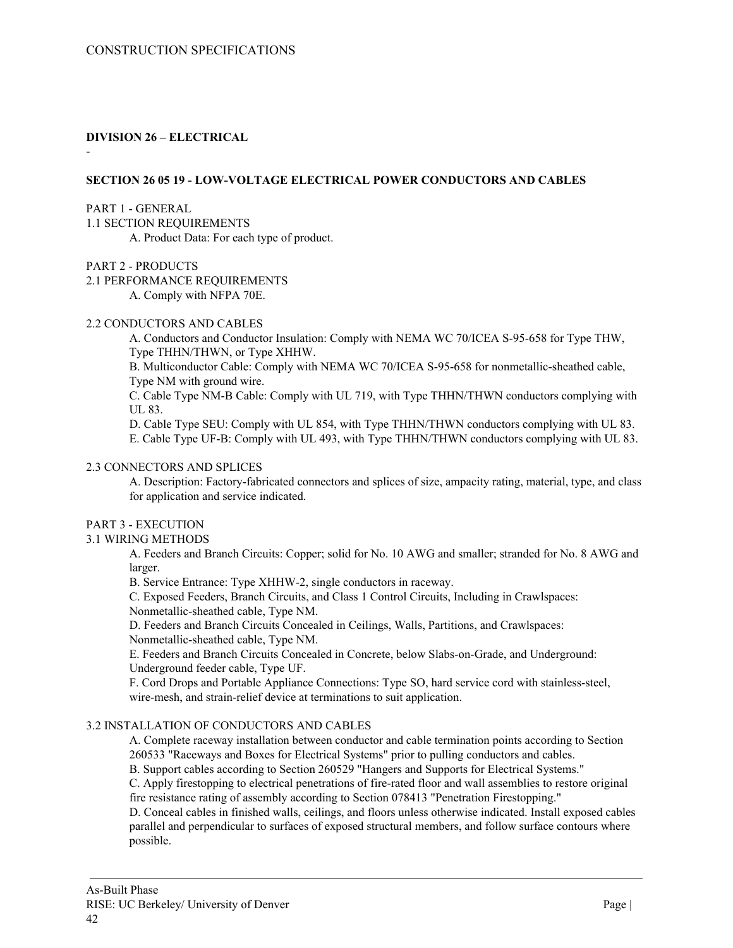## **DIVISION 26 – ELECTRICAL**

-

## **SECTION 26 05 19 - LOW-VOLTAGE ELECTRICAL POWER CONDUCTORS AND CABLES**

#### PART 1 - GENERAL

1.1 SECTION REQUIREMENTS

A. Product Data: For each type of product.

## PART 2 - PRODUCTS

2.1 PERFORMANCE REQUIREMENTS

A. Comply with NFPA 70E.

## 2.2 CONDUCTORS AND CABLES

A. Conductors and Conductor Insulation: Comply with NEMA WC 70/ICEA S-95-658 for Type THW, Type THHN/THWN, or Type XHHW.

B. Multiconductor Cable: Comply with NEMA WC 70/ICEA S-95-658 for nonmetallic-sheathed cable, Type NM with ground wire.

C. Cable Type NM-B Cable: Comply with UL 719, with Type THHN/THWN conductors complying with UL 83.

D. Cable Type SEU: Comply with UL 854, with Type THHN/THWN conductors complying with UL 83. E. Cable Type UF-B: Comply with UL 493, with Type THHN/THWN conductors complying with UL 83.

## 2.3 CONNECTORS AND SPLICES

A. Description: Factory-fabricated connectors and splices of size, ampacity rating, material, type, and class for application and service indicated.

## PART 3 - EXECUTION

## 3.1 WIRING METHODS

A. Feeders and Branch Circuits: Copper; solid for No. 10 AWG and smaller; stranded for No. 8 AWG and larger.

B. Service Entrance: Type XHHW-2, single conductors in raceway.

C. Exposed Feeders, Branch Circuits, and Class 1 Control Circuits, Including in Crawlspaces: Nonmetallic-sheathed cable, Type NM.

D. Feeders and Branch Circuits Concealed in Ceilings, Walls, Partitions, and Crawlspaces: Nonmetallic-sheathed cable, Type NM.

E. Feeders and Branch Circuits Concealed in Concrete, below Slabs-on-Grade, and Underground: Underground feeder cable, Type UF.

F. Cord Drops and Portable Appliance Connections: Type SO, hard service cord with stainless-steel, wire-mesh, and strain-relief device at terminations to suit application.

## 3.2 INSTALLATION OF CONDUCTORS AND CABLES

A. Complete raceway installation between conductor and cable termination points according to Section 260533 "Raceways and Boxes for Electrical Systems" prior to pulling conductors and cables.

B. Support cables according to Section 260529 "Hangers and Supports for Electrical Systems."

C. Apply firestopping to electrical penetrations of fire-rated floor and wall assemblies to restore original fire resistance rating of assembly according to Section 078413 "Penetration Firestopping."

D. Conceal cables in finished walls, ceilings, and floors unless otherwise indicated. Install exposed cables parallel and perpendicular to surfaces of exposed structural members, and follow surface contours where possible.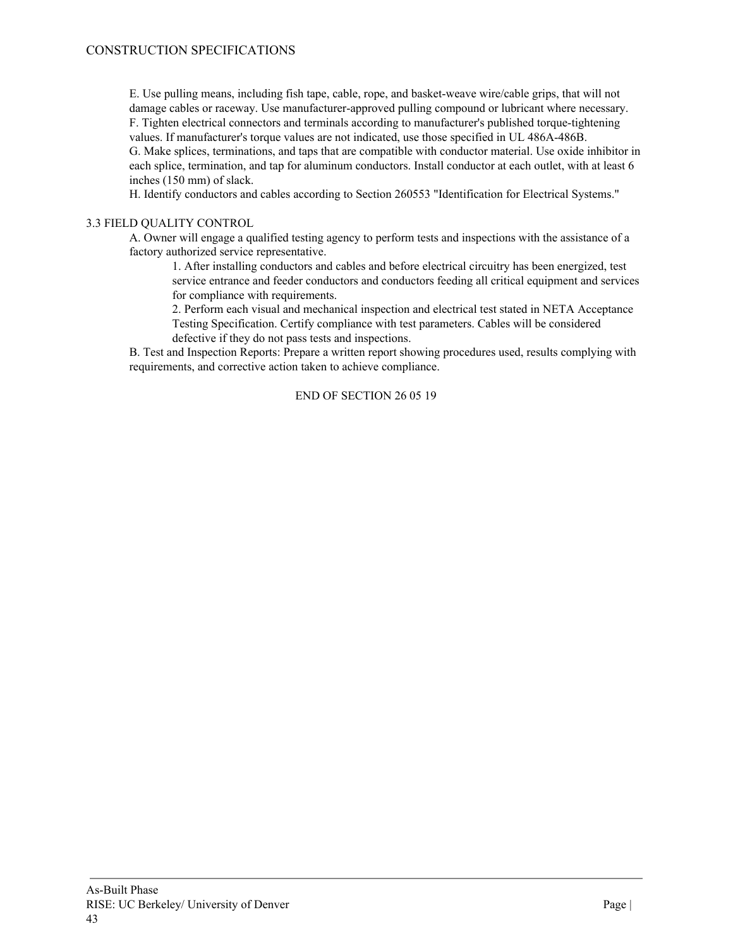E. Use pulling means, including fish tape, cable, rope, and basket-weave wire/cable grips, that will not damage cables or raceway. Use manufacturer-approved pulling compound or lubricant where necessary. F. Tighten electrical connectors and terminals according to manufacturer's published torque-tightening values. If manufacturer's torque values are not indicated, use those specified in UL 486A-486B. G. Make splices, terminations, and taps that are compatible with conductor material. Use oxide inhibitor in each splice, termination, and tap for aluminum conductors. Install conductor at each outlet, with at least 6 inches (150 mm) of slack.

H. Identify conductors and cables according to Section 260553 "Identification for Electrical Systems."

## 3.3 FIELD QUALITY CONTROL

A. Owner will engage a qualified testing agency to perform tests and inspections with the assistance of a factory authorized service representative.

1. After installing conductors and cables and before electrical circuitry has been energized, test service entrance and feeder conductors and conductors feeding all critical equipment and services for compliance with requirements.

2. Perform each visual and mechanical inspection and electrical test stated in NETA Acceptance Testing Specification. Certify compliance with test parameters. Cables will be considered defective if they do not pass tests and inspections.

B. Test and Inspection Reports: Prepare a written report showing procedures used, results complying with requirements, and corrective action taken to achieve compliance.

## END OF SECTION 26 05 19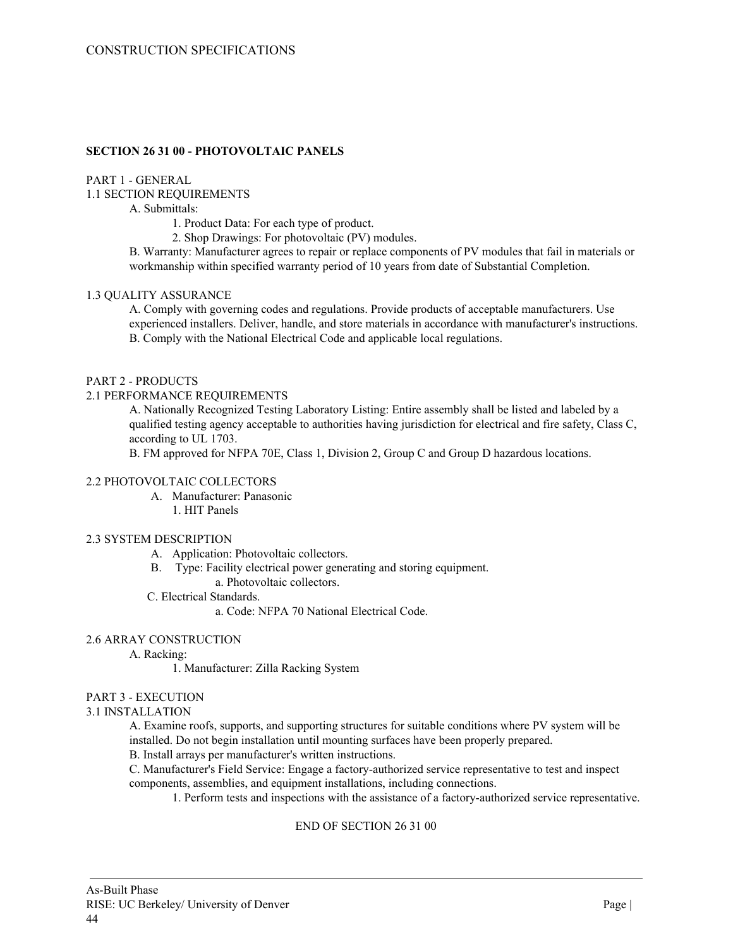## **SECTION 26 31 00 - PHOTOVOLTAIC PANELS**

#### PART 1 - GENERAL

1.1 SECTION REQUIREMENTS

#### A. Submittals:

1. Product Data: For each type of product.

2. Shop Drawings: For photovoltaic (PV) modules.

B. Warranty: Manufacturer agrees to repair or replace components of PV modules that fail in materials or workmanship within specified warranty period of 10 years from date of Substantial Completion.

## 1.3 QUALITY ASSURANCE

A. Comply with governing codes and regulations. Provide products of acceptable manufacturers. Use experienced installers. Deliver, handle, and store materials in accordance with manufacturer's instructions. B. Comply with the National Electrical Code and applicable local regulations.

#### PART 2 - PRODUCTS

#### 2.1 PERFORMANCE REQUIREMENTS

A. Nationally Recognized Testing Laboratory Listing: Entire assembly shall be listed and labeled by a qualified testing agency acceptable to authorities having jurisdiction for electrical and fire safety, Class C, according to UL 1703.

B. FM approved for NFPA 70E, Class 1, Division 2, Group C and Group D hazardous locations.

## 2.2 PHOTOVOLTAIC COLLECTORS

- A. Manufacturer: Panasonic
	- 1. HIT Panels

#### 2.3 SYSTEM DESCRIPTION

- A. Application: Photovoltaic collectors.
- B. Type: Facility electrical power generating and storing equipment.
	- a. Photovoltaic collectors.
- C. Electrical Standards.
	- a. Code: NFPA 70 National Electrical Code.

## 2.6 ARRAY CONSTRUCTION

A. Racking:

1. Manufacturer: Zilla Racking System

#### PART 3 - EXECUTION

#### 3.1 INSTALLATION

A. Examine roofs, supports, and supporting structures for suitable conditions where PV system will be installed. Do not begin installation until mounting surfaces have been properly prepared.

B. Install arrays per manufacturer's written instructions.

C. Manufacturer's Field Service: Engage a factory-authorized service representative to test and inspect components, assemblies, and equipment installations, including connections.

1. Perform tests and inspections with the assistance of a factory-authorized service representative.

## END OF SECTION 26 31 00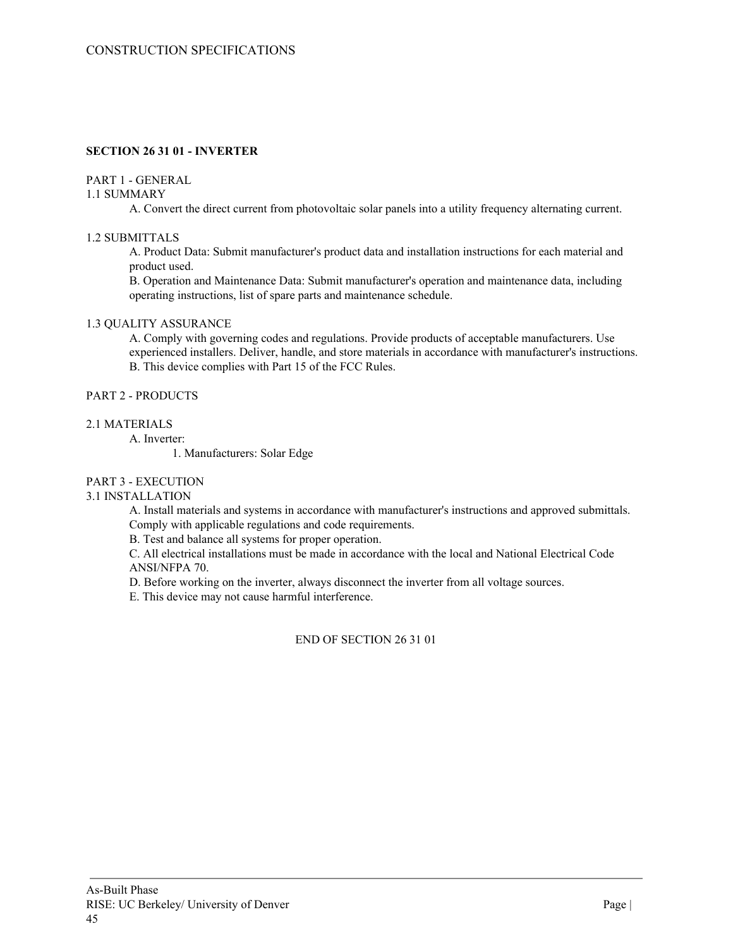## **SECTION 26 31 01 - INVERTER**

### PART 1 - GENERAL

### 1.1 SUMMARY

A. Convert the direct current from photovoltaic solar panels into a utility frequency alternating current.

### 1.2 SUBMITTALS

A. Product Data: Submit manufacturer's product data and installation instructions for each material and product used.

B. Operation and Maintenance Data: Submit manufacturer's operation and maintenance data, including operating instructions, list of spare parts and maintenance schedule.

# 1.3 QUALITY ASSURANCE

A. Comply with governing codes and regulations. Provide products of acceptable manufacturers. Use experienced installers. Deliver, handle, and store materials in accordance with manufacturer's instructions. B. This device complies with Part 15 of the FCC Rules.

#### PART 2 - PRODUCTS

#### 2.1 MATERIALS

A. Inverter:

1. Manufacturers: Solar Edge

## PART 3 - EXECUTION

## 3.1 INSTALLATION

A. Install materials and systems in accordance with manufacturer's instructions and approved submittals. Comply with applicable regulations and code requirements.

B. Test and balance all systems for proper operation.

C. All electrical installations must be made in accordance with the local and National Electrical Code ANSI/NFPA 70.

D. Before working on the inverter, always disconnect the inverter from all voltage sources.

E. This device may not cause harmful interference.

END OF SECTION 26 31 01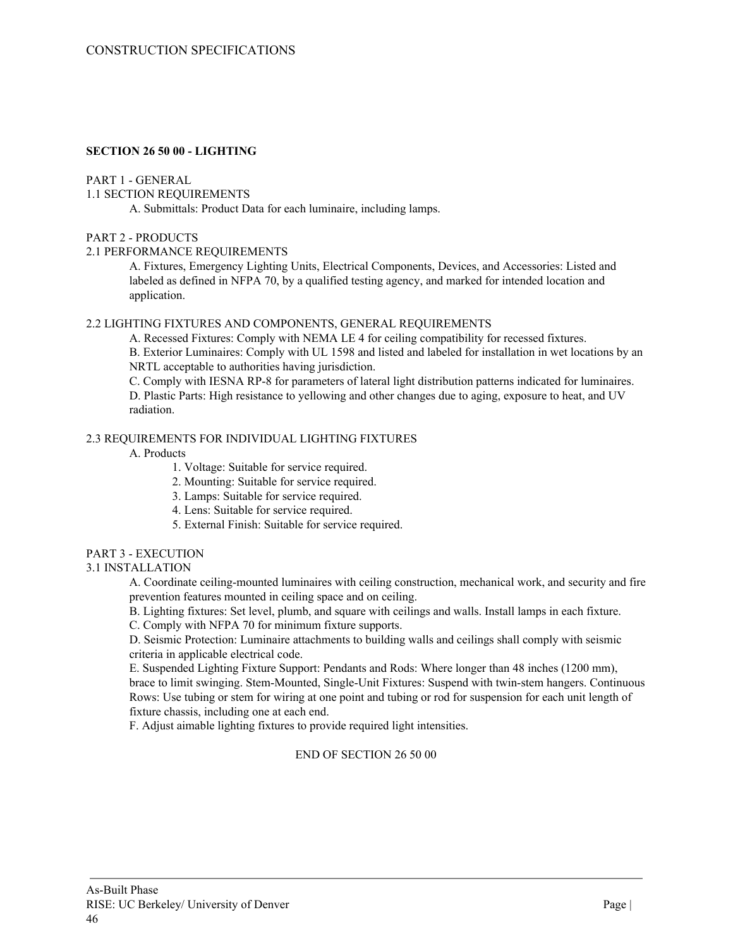## **SECTION 26 50 00 - LIGHTING**

#### PART 1 - GENERAL

## 1.1 SECTION REQUIREMENTS

A. Submittals: Product Data for each luminaire, including lamps.

## PART 2 - PRODUCTS

## 2.1 PERFORMANCE REQUIREMENTS

A. Fixtures, Emergency Lighting Units, Electrical Components, Devices, and Accessories: Listed and labeled as defined in NFPA 70, by a qualified testing agency, and marked for intended location and application.

## 2.2 LIGHTING FIXTURES AND COMPONENTS, GENERAL REQUIREMENTS

A. Recessed Fixtures: Comply with NEMA LE 4 for ceiling compatibility for recessed fixtures. B. Exterior Luminaires: Comply with UL 1598 and listed and labeled for installation in wet locations by an NRTL acceptable to authorities having jurisdiction.

C. Comply with IESNA RP-8 for parameters of lateral light distribution patterns indicated for luminaires. D. Plastic Parts: High resistance to yellowing and other changes due to aging, exposure to heat, and UV radiation.

## 2.3 REQUIREMENTS FOR INDIVIDUAL LIGHTING FIXTURES

A. Products

1. Voltage: Suitable for service required.

- 2. Mounting: Suitable for service required.
- 3. Lamps: Suitable for service required.
- 4. Lens: Suitable for service required.
- 5. External Finish: Suitable for service required.

## PART 3 - EXECUTION

## 3.1 INSTALLATION

A. Coordinate ceiling-mounted luminaires with ceiling construction, mechanical work, and security and fire prevention features mounted in ceiling space and on ceiling.

B. Lighting fixtures: Set level, plumb, and square with ceilings and walls. Install lamps in each fixture.

C. Comply with NFPA 70 for minimum fixture supports.

D. Seismic Protection: Luminaire attachments to building walls and ceilings shall comply with seismic criteria in applicable electrical code.

E. Suspended Lighting Fixture Support: Pendants and Rods: Where longer than 48 inches (1200 mm), brace to limit swinging. Stem-Mounted, Single-Unit Fixtures: Suspend with twin-stem hangers. Continuous Rows: Use tubing or stem for wiring at one point and tubing or rod for suspension for each unit length of fixture chassis, including one at each end.

F. Adjust aimable lighting fixtures to provide required light intensities.

## END OF SECTION 26 50 00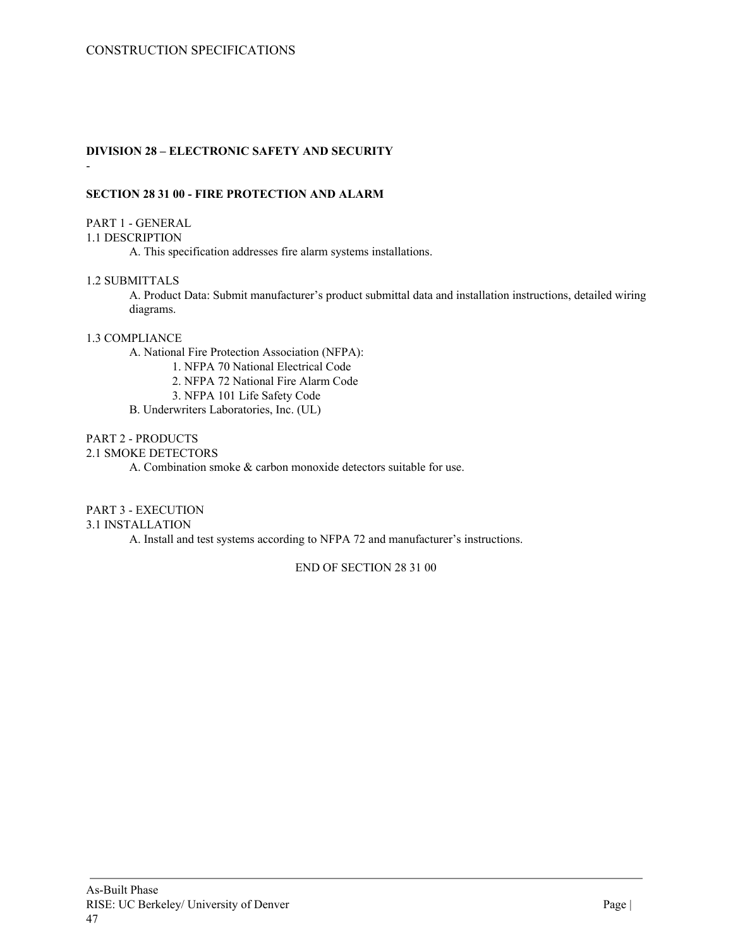# **DIVISION 28 – ELECTRONIC SAFETY AND SECURITY**

## **SECTION 28 31 00 - FIRE PROTECTION AND ALARM**

### PART 1 - GENERAL

-

## 1.1 DESCRIPTION

A. This specification addresses fire alarm systems installations.

## 1.2 SUBMITTALS

A. Product Data: Submit manufacturer's product submittal data and installation instructions, detailed wiring diagrams.

#### 1.3 COMPLIANCE

A. National Fire Protection Association (NFPA):

1. NFPA 70 National Electrical Code

2. NFPA 72 National Fire Alarm Code

3. NFPA 101 Life Safety Code

B. Underwriters Laboratories, Inc. (UL)

## PART 2 - PRODUCTS

#### 2.1 SMOKE DETECTORS

A. Combination smoke & carbon monoxide detectors suitable for use.

## PART 3 - EXECUTION

## 3.1 INSTALLATION

A. Install and test systems according to NFPA 72 and manufacturer's instructions.

END OF SECTION 28 31 00